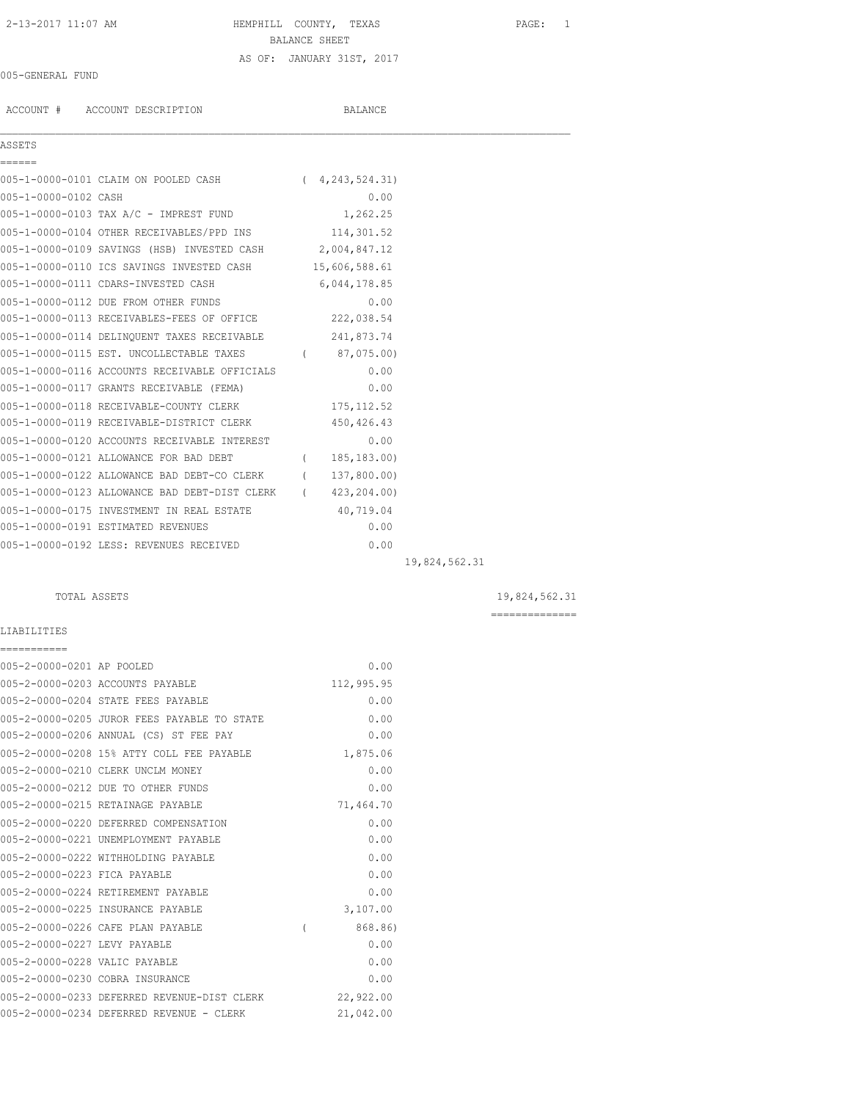# 2-13-2017 11:07 AM HEMPHILL COUNTY, TEXAS PAGE: 1 BALANCE SHEET AS OF: JANUARY 31ST, 2017

## 005-GENERAL FUND

ACCOUNT # ACCOUNT DESCRIPTION BALANCE

## ASSETS ======

 $\mathcal{L}_\mathcal{L} = \mathcal{L}_\mathcal{L}$ 

|                      | 005-1-0000-0101 CLAIM ON POOLED CASH        | (4, 243, 524, 31) |
|----------------------|---------------------------------------------|-------------------|
| 005-1-0000-0102 CASH |                                             | 0.00              |
|                      | 005-1-0000-0103 TAX A/C - IMPREST FUND      | 1,262.25          |
|                      | 005-1-0000-0104 OTHER RECEIVABLES/PPD INS   | 114,301.52        |
|                      | 005-1-0000-0109 SAVINGS (HSB) INVESTED CASH | 2,004,847.12      |

| 005-1-0000-0110 ICS SAVINGS INVESTED CASH     | 15,606,588.61 |  |
|-----------------------------------------------|---------------|--|
| 005-1-0000-0111 CDARS-INVESTED CASH           | 6,044,178.85  |  |
| 005-1-0000-0112 DUE FROM OTHER FUNDS          | 0.00          |  |
| 005-1-0000-0113 RECEIVABLES-FEES OF OFFICE    | 222,038.54    |  |
| 005-1-0000-0114 DELINQUENT TAXES RECEIVABLE   | 241,873.74    |  |
| 005-1-0000-0115 EST. UNCOLLECTABLE TAXES      | 87,075.00)    |  |
| 005-1-0000-0116 ACCOUNTS RECEIVABLE OFFICIALS | 0.00          |  |
| 005-1-0000-0117 GRANTS RECEIVABLE (FEMA)      | 0.00          |  |
| 005-1-0000-0118 RECEIVABLE-COUNTY CLERK       | 175, 112.52   |  |
| 005-1-0000-0119 RECEIVABLE-DISTRICT CLERK     | 450, 426.43   |  |
| 005-1-0000-0120 ACCOUNTS RECEIVABLE INTEREST  | 0.00          |  |
| 005-1-0000-0121 ALLOWANCE FOR BAD DEBT        | 185, 183.00)  |  |
| 005-1-0000-0122 ALLOWANCE BAD DEBT-CO CLERK   | 137,800.00)   |  |
| 005-1-0000-0123 ALLOWANCE BAD DEBT-DIST CLERK | 423,204.00)   |  |
| 005-1-0000-0175 INVESTMENT IN REAL ESTATE     | 40,719.04     |  |
| 005-1-0000-0191 ESTIMATED REVENUES            | 0.00          |  |
| 005-1-0000-0192 LESS: REVENUES RECEIVED       | 0.00          |  |
|                                               |               |  |

19,824,562.31

## TOTAL ASSETS  $19,824,562.31$

==============

# LIABILITIES

| ===========                   |                                             |   |            |
|-------------------------------|---------------------------------------------|---|------------|
| 005-2-0000-0201 AP POOLED     |                                             |   | 0.00       |
|                               | 005-2-0000-0203 ACCOUNTS PAYABLE            |   | 112,995.95 |
|                               | 005-2-0000-0204 STATE FEES PAYABLE          |   | 0.00       |
|                               | 005-2-0000-0205 JUROR FEES PAYABLE TO STATE |   | 0.00       |
|                               | 005-2-0000-0206 ANNUAL (CS) ST FEE PAY      |   | 0.00       |
|                               | 005-2-0000-0208 15% ATTY COLL FEE PAYABLE   |   | 1,875.06   |
|                               | 005-2-0000-0210 CLERK UNCLM MONEY           |   | 0.00       |
|                               | 005-2-0000-0212 DUE TO OTHER FUNDS          |   | 0.00       |
|                               | 005-2-0000-0215 RETAINAGE PAYABLE           |   | 71,464.70  |
|                               | 005-2-0000-0220 DEFERRED COMPENSATION       |   | 0.00       |
|                               | 005-2-0000-0221 UNEMPLOYMENT PAYABLE        |   | 0.00       |
|                               | 005-2-0000-0222 WITHHOLDING PAYABLE         |   | 0.00       |
| 005-2-0000-0223 FICA PAYABLE  |                                             |   | 0.00       |
|                               | 005-2-0000-0224 RETIREMENT PAYABLE          |   | 0.00       |
|                               | 005-2-0000-0225 INSURANCE PAYABLE           |   | 3,107.00   |
|                               | 005-2-0000-0226 CAFE PLAN PAYABLE           | ( | 868.86)    |
| 005-2-0000-0227 LEVY PAYABLE  |                                             |   | 0.00       |
| 005-2-0000-0228 VALIC PAYABLE |                                             |   | 0.00       |
|                               | 005-2-0000-0230 COBRA INSURANCE             |   | 0.00       |
|                               | 005-2-0000-0233 DEFERRED REVENUE-DIST CLERK |   | 22,922.00  |
|                               | 005-2-0000-0234 DEFERRED REVENUE - CLERK    |   | 21,042.00  |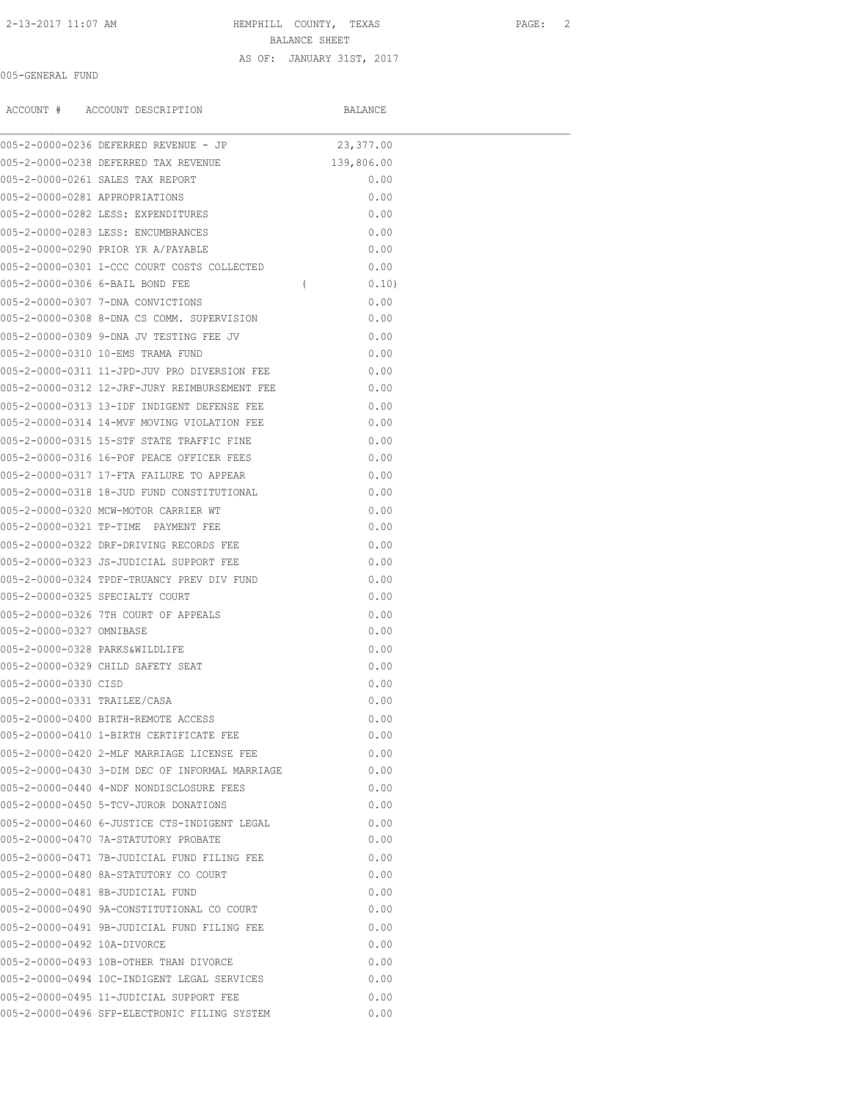2-13-2017 11:07 AM HEMPHILL COUNTY, TEXAS PAGE: 2

BALANCE SHEET

### AS OF: JANUARY 31ST, 2017

## 005-GENERAL FUND

|                                | ACCOUNT # ACCOUNT DESCRIPTION                      | BALANCE            |  |
|--------------------------------|----------------------------------------------------|--------------------|--|
|                                | 005-2-0000-0236 DEFERRED REVENUE - JP              | 23,377.00          |  |
|                                | 005-2-0000-0238 DEFERRED TAX REVENUE               | 139,806.00         |  |
|                                | 005-2-0000-0261 SALES TAX REPORT                   | 0.00               |  |
| 005-2-0000-0281 APPROPRIATIONS |                                                    | 0.00               |  |
|                                | 005-2-0000-0282 LESS: EXPENDITURES                 | 0.00               |  |
|                                | 005-2-0000-0283 LESS: ENCUMBRANCES                 | 0.00               |  |
|                                | 005-2-0000-0290 PRIOR YR A/PAYABLE                 | 0.00               |  |
|                                | 005-2-0000-0301 1-CCC COURT COSTS COLLECTED        | 0.00               |  |
|                                | 005-2-0000-0306 6-BAIL BOND FEE                    | $\sqrt{2}$<br>0.10 |  |
|                                | 005-2-0000-0307 7-DNA CONVICTIONS                  | 0.00               |  |
|                                | 005-2-0000-0308 8-DNA CS COMM. SUPERVISION         | 0.00               |  |
|                                | 005-2-0000-0309 9-DNA JV TESTING FEE JV            | 0.00               |  |
|                                | 005-2-0000-0310 10-EMS TRAMA FUND                  | 0.00               |  |
|                                | 005-2-0000-0311 11-JPD-JUV PRO DIVERSION FEE       | 0.00               |  |
|                                | 0.00 005-2-0000-0312 12-JRF-JURY REIMBURSEMENT FEE |                    |  |
|                                | 005-2-0000-0313 13-IDF INDIGENT DEFENSE FEE        | 0.00               |  |
|                                | 005-2-0000-0314 14-MVF MOVING VIOLATION FEE        | 0.00               |  |
|                                | 005-2-0000-0315 15-STF STATE TRAFFIC FINE          | 0.00               |  |
|                                | 005-2-0000-0316 16-POF PEACE OFFICER FEES          | 0.00               |  |
|                                | 005-2-0000-0317 17-FTA FAILURE TO APPEAR           | 0.00               |  |
|                                | 005-2-0000-0318 18-JUD FUND CONSTITUTIONAL         | 0.00               |  |
|                                | 005-2-0000-0320 MCW-MOTOR CARRIER WT               | 0.00               |  |
|                                | 005-2-0000-0321 TP-TIME PAYMENT FEE                | 0.00               |  |
|                                | 005-2-0000-0322 DRF-DRIVING RECORDS FEE            | 0.00               |  |
|                                | 005-2-0000-0323 JS-JUDICIAL SUPPORT FEE            | 0.00               |  |
|                                | 005-2-0000-0324 TPDF-TRUANCY PREV DIV FUND         | 0.00               |  |
|                                | 005-2-0000-0325 SPECIALTY COURT                    | 0.00               |  |
|                                | 005-2-0000-0326 7TH COURT OF APPEALS               | 0.00               |  |
| 005-2-0000-0327 OMNIBASE       |                                                    | 0.00               |  |
|                                | 005-2-0000-0328 PARKS&WILDLIFE                     | 0.00               |  |
|                                | 005-2-0000-0329 CHILD SAFETY SEAT                  | 0.00               |  |
| 005-2-0000-0330 CISD           |                                                    | 0.00               |  |
| 005-2-0000-0331 TRAILEE/CASA   |                                                    | 0.00               |  |
|                                | 005-2-0000-0400 BIRTH-REMOTE ACCESS                | 0.00               |  |
|                                | 005-2-0000-0410 1-BIRTH CERTIFICATE FEE            | 0.00               |  |
|                                | 005-2-0000-0420 2-MLF MARRIAGE LICENSE FEE         | 0.00               |  |
|                                | 005-2-0000-0430 3-DIM DEC OF INFORMAL MARRIAGE     | 0.00               |  |
|                                | 005-2-0000-0440 4-NDF NONDISCLOSURE FEES           | 0.00               |  |
|                                | 005-2-0000-0450 5-TCV-JUROR DONATIONS              | 0.00               |  |
|                                | 005-2-0000-0460 6-JUSTICE CTS-INDIGENT LEGAL       | 0.00               |  |
|                                | 005-2-0000-0470 7A-STATUTORY PROBATE               | 0.00               |  |
|                                | 005-2-0000-0471 7B-JUDICIAL FUND FILING FEE        | 0.00               |  |
|                                | 005-2-0000-0480 8A-STATUTORY CO COURT              | 0.00               |  |
|                                | 005-2-0000-0481 8B-JUDICIAL FUND                   | 0.00               |  |
|                                | 005-2-0000-0490 9A-CONSTITUTIONAL CO COURT         | 0.00               |  |
|                                | 005-2-0000-0491 9B-JUDICIAL FUND FILING FEE        | 0.00               |  |
| 005-2-0000-0492 10A-DIVORCE    |                                                    | 0.00               |  |
|                                | 005-2-0000-0493 10B-OTHER THAN DIVORCE             | 0.00               |  |
|                                | 005-2-0000-0494 10C-INDIGENT LEGAL SERVICES        | 0.00               |  |
|                                | 005-2-0000-0495 11-JUDICIAL SUPPORT FEE            | 0.00               |  |
|                                | 005-2-0000-0496 SFP-ELECTRONIC FILING SYSTEM       | 0.00               |  |
|                                |                                                    |                    |  |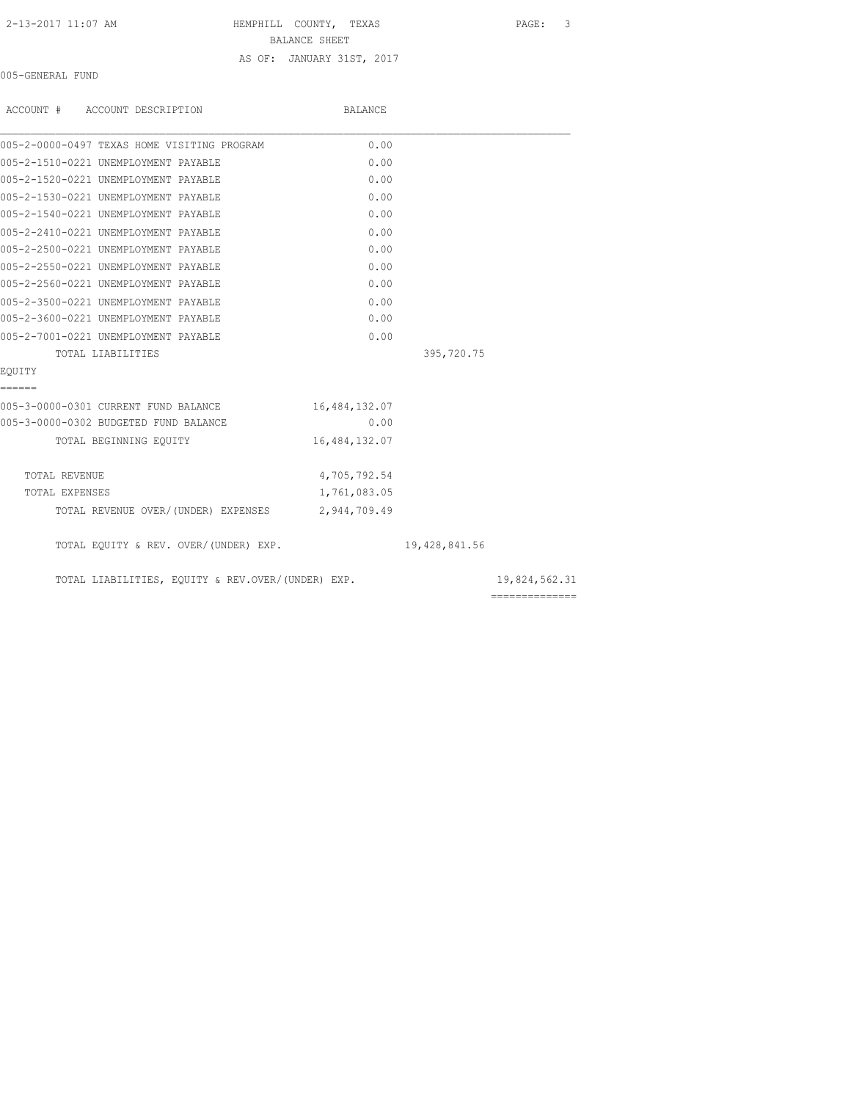AS OF: JANUARY 31ST, 2017

 2-13-2017 11:07 AM HEMPHILL COUNTY, TEXAS PAGE: 3 BALANCE SHEET

## 005-GENERAL FUND

| ACCOUNT # ACCOUNT DESCRIPTION                     | BALANCE       |               |                 |
|---------------------------------------------------|---------------|---------------|-----------------|
| 005-2-0000-0497 TEXAS HOME VISITING PROGRAM       | 0.00          |               |                 |
| 005-2-1510-0221 UNEMPLOYMENT PAYABLE              | 0.00          |               |                 |
| 005-2-1520-0221 UNEMPLOYMENT PAYABLE              | 0.00          |               |                 |
| 005-2-1530-0221 UNEMPLOYMENT PAYABLE              | 0.00          |               |                 |
| 005-2-1540-0221 UNEMPLOYMENT PAYABLE              | 0.00          |               |                 |
| 005-2-2410-0221 UNEMPLOYMENT PAYABLE              | 0.00          |               |                 |
| 005-2-2500-0221 UNEMPLOYMENT PAYABLE              | 0.00          |               |                 |
| 005-2-2550-0221 UNEMPLOYMENT PAYABLE              | 0.00          |               |                 |
| 005-2-2560-0221 UNEMPLOYMENT PAYABLE              | 0.00          |               |                 |
| 005-2-3500-0221 UNEMPLOYMENT PAYABLE              | 0.00          |               |                 |
| 005-2-3600-0221 UNEMPLOYMENT PAYABLE              | 0.00          |               |                 |
| 005-2-7001-0221 UNEMPLOYMENT PAYABLE              | 0.00          |               |                 |
| TOTAL LIABILITIES                                 |               | 395,720.75    |                 |
| EOUITY                                            |               |               |                 |
| ======                                            |               |               |                 |
| 005-3-0000-0301 CURRENT FUND BALANCE              | 16,484,132.07 |               |                 |
| 005-3-0000-0302 BUDGETED FUND BALANCE             | 0.00          |               |                 |
| TOTAL BEGINNING EQUITY                            | 16,484,132.07 |               |                 |
| TOTAL REVENUE                                     | 4,705,792.54  |               |                 |
| TOTAL EXPENSES                                    | 1,761,083.05  |               |                 |
| TOTAL REVENUE OVER/(UNDER) EXPENSES 2,944,709.49  |               |               |                 |
| TOTAL EQUITY & REV. OVER/(UNDER) EXP.             |               | 19,428,841.56 |                 |
| TOTAL LIABILITIES, EQUITY & REV.OVER/(UNDER) EXP. |               |               | 19,824,562.31   |
|                                                   |               |               | --------------- |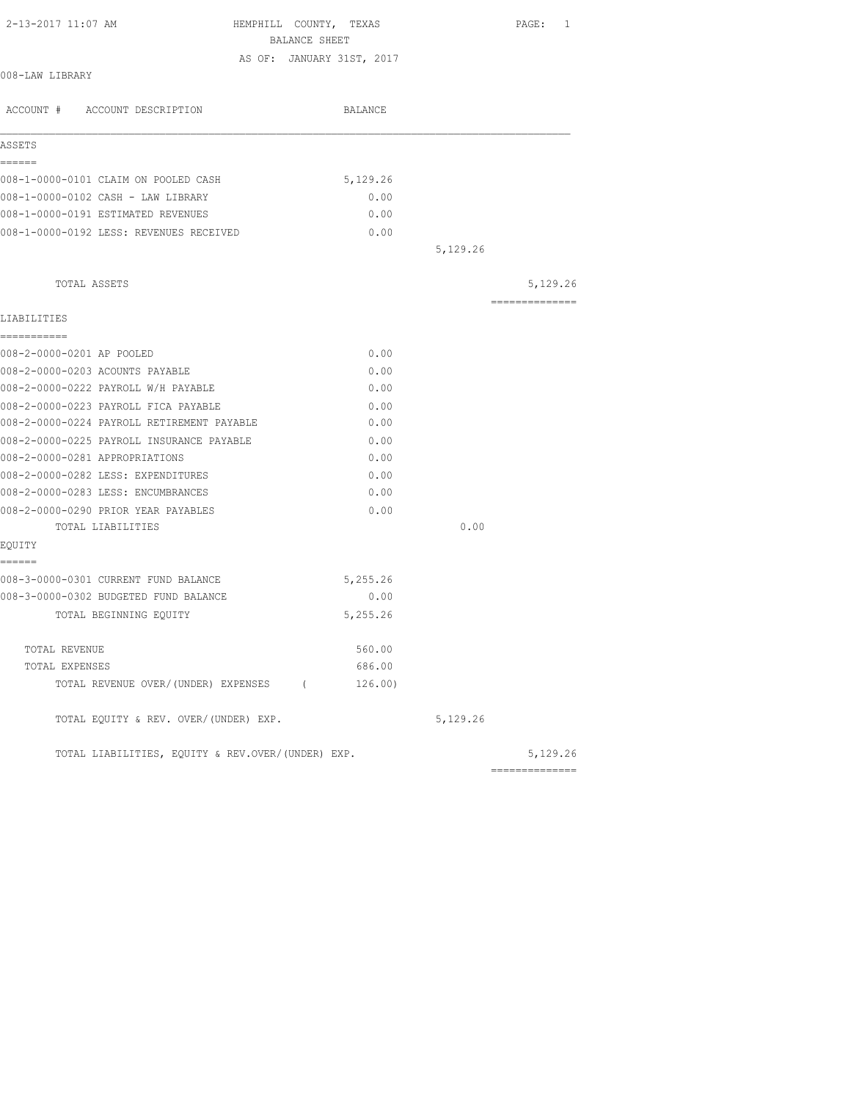| 2-13-2017 11:07 AM                                | HEMPHILL COUNTY, TEXAS                     |          | PAGE: 1        |
|---------------------------------------------------|--------------------------------------------|----------|----------------|
|                                                   | BALANCE SHEET<br>AS OF: JANUARY 31ST, 2017 |          |                |
| 008-LAW LIBRARY                                   |                                            |          |                |
| ACCOUNT # ACCOUNT DESCRIPTION                     | BALANCE                                    |          |                |
| ASSETS                                            |                                            |          |                |
| ======<br>008-1-0000-0101 CLAIM ON POOLED CASH    | 5,129.26                                   |          |                |
| 008-1-0000-0102 CASH - LAW LIBRARY                | 0.00                                       |          |                |
| 008-1-0000-0191 ESTIMATED REVENUES                | 0.00                                       |          |                |
| 008-1-0000-0192 LESS: REVENUES RECEIVED           | 0.00                                       |          |                |
|                                                   |                                            | 5,129.26 |                |
| TOTAL ASSETS                                      |                                            |          | 5,129.26       |
| LIABILITIES                                       |                                            |          | -------------- |
| -----------                                       |                                            |          |                |
| 008-2-0000-0201 AP POOLED                         | 0.00                                       |          |                |
| 008-2-0000-0203 ACOUNTS PAYABLE                   | 0.00                                       |          |                |
| 008-2-0000-0222 PAYROLL W/H PAYABLE               | 0.00                                       |          |                |
| 008-2-0000-0223 PAYROLL FICA PAYABLE              | 0.00                                       |          |                |
| 008-2-0000-0224 PAYROLL RETIREMENT PAYABLE        | 0.00                                       |          |                |
| 008-2-0000-0225 PAYROLL INSURANCE PAYABLE         | 0.00                                       |          |                |
| 008-2-0000-0281 APPROPRIATIONS                    | 0.00                                       |          |                |
| 008-2-0000-0282 LESS: EXPENDITURES                | 0.00                                       |          |                |
| 008-2-0000-0283 LESS: ENCUMBRANCES                | 0.00                                       |          |                |
| 008-2-0000-0290 PRIOR YEAR PAYABLES               | 0.00                                       |          |                |
| TOTAL LIABILITIES                                 |                                            | 0.00     |                |
| EOUITY<br>======                                  |                                            |          |                |
| 008-3-0000-0301 CURRENT FUND BALANCE              | 5,255.26                                   |          |                |
| 008-3-0000-0302 BUDGETED FUND BALANCE             | 0.00                                       |          |                |
| TOTAL BEGINNING EOUITY                            | 5,255.26                                   |          |                |
| TOTAL REVENUE                                     | 560.00                                     |          |                |
| TOTAL EXPENSES                                    | 686.00                                     |          |                |
| TOTAL REVENUE OVER/(UNDER) EXPENSES (             | 126.00)                                    |          |                |
| TOTAL EQUITY & REV. OVER/(UNDER) EXP.             |                                            | 5,129.26 |                |
| TOTAL LIABILITIES, EQUITY & REV.OVER/(UNDER) EXP. |                                            |          | 5,129.26       |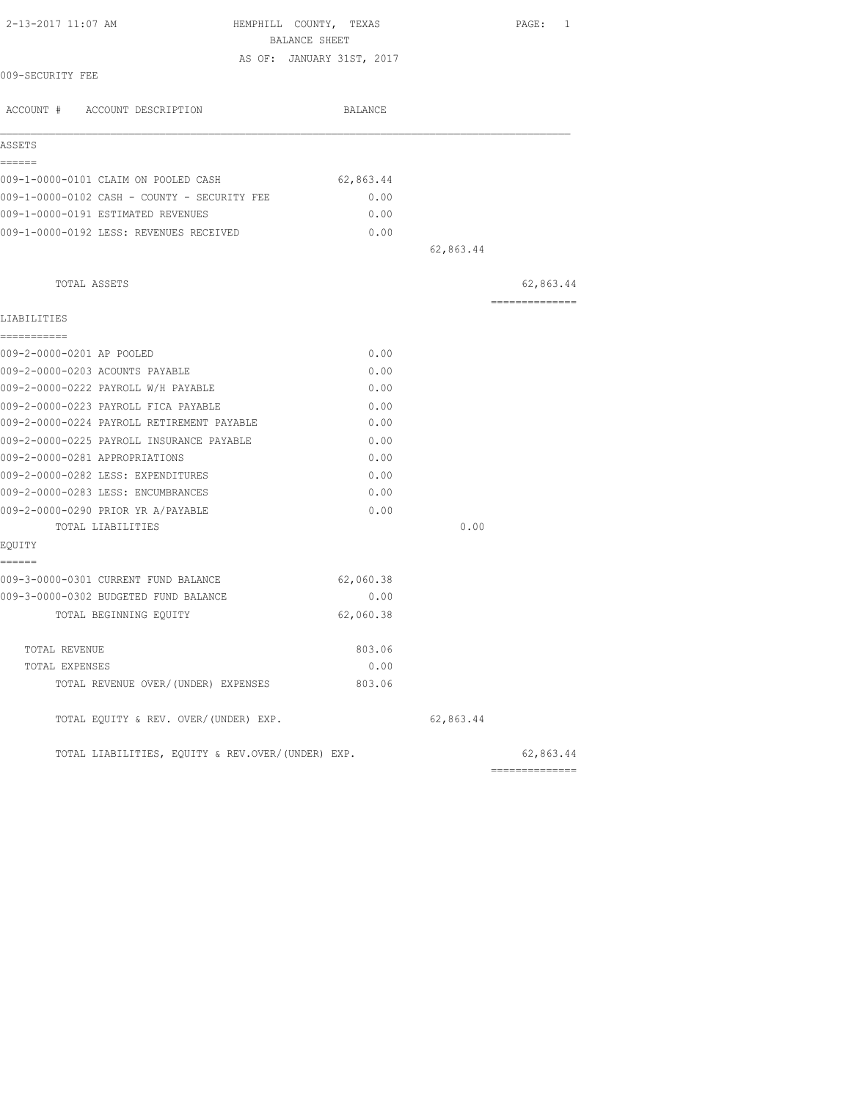| 2-13-2017 11:07 AM                                | HEMPHILL COUNTY, TEXAS<br>BALANCE SHEET |           | PAGE: 1                     |
|---------------------------------------------------|-----------------------------------------|-----------|-----------------------------|
|                                                   | AS OF: JANUARY 31ST, 2017               |           |                             |
| 009-SECURITY FEE                                  |                                         |           |                             |
| ACCOUNT # ACCOUNT DESCRIPTION                     | BALANCE                                 |           |                             |
| ASSETS                                            |                                         |           |                             |
| ------<br>009-1-0000-0101 CLAIM ON POOLED CASH    | 62,863.44                               |           |                             |
| 009-1-0000-0102 CASH - COUNTY - SECURITY FEE      | 0.00                                    |           |                             |
| 009-1-0000-0191 ESTIMATED REVENUES                | 0.00                                    |           |                             |
| 009-1-0000-0192 LESS: REVENUES RECEIVED           | 0.00                                    |           |                             |
|                                                   |                                         | 62,863.44 |                             |
| TOTAL ASSETS                                      |                                         |           | 62,863.44                   |
| LIABILITIES                                       |                                         |           | ---------------             |
| ===========                                       |                                         |           |                             |
| 009-2-0000-0201 AP POOLED                         | 0.00                                    |           |                             |
| 009-2-0000-0203 ACOUNTS PAYABLE                   | 0.00                                    |           |                             |
| 009-2-0000-0222 PAYROLL W/H PAYABLE               | 0.00                                    |           |                             |
| 009-2-0000-0223 PAYROLL FICA PAYABLE              | 0.00                                    |           |                             |
| 009-2-0000-0224 PAYROLL RETIREMENT PAYABLE        | 0.00                                    |           |                             |
| 009-2-0000-0225 PAYROLL INSURANCE PAYABLE         | 0.00                                    |           |                             |
| 009-2-0000-0281 APPROPRIATIONS                    | 0.00                                    |           |                             |
| 009-2-0000-0282 LESS: EXPENDITURES                | 0.00                                    |           |                             |
| 009-2-0000-0283 LESS: ENCUMBRANCES                | 0.00                                    |           |                             |
| 009-2-0000-0290 PRIOR YR A/PAYABLE                | 0.00                                    |           |                             |
| TOTAL LIABILITIES                                 |                                         | 0.00      |                             |
| EQUITY<br>======                                  |                                         |           |                             |
| 009-3-0000-0301 CURRENT FUND BALANCE              | 62,060.38                               |           |                             |
| 009-3-0000-0302 BUDGETED FUND BALANCE             | 0.00                                    |           |                             |
| TOTAL BEGINNING EOUITY                            | 62,060.38                               |           |                             |
| TOTAL REVENUE                                     | 803.06                                  |           |                             |
| TOTAL EXPENSES                                    | 0.00                                    |           |                             |
| TOTAL REVENUE OVER/(UNDER) EXPENSES               | 803.06                                  |           |                             |
| TOTAL EQUITY & REV. OVER/(UNDER) EXP.             |                                         | 62,863.44 |                             |
| TOTAL LIABILITIES, EQUITY & REV.OVER/(UNDER) EXP. |                                         |           | 62,863.44<br>-------------- |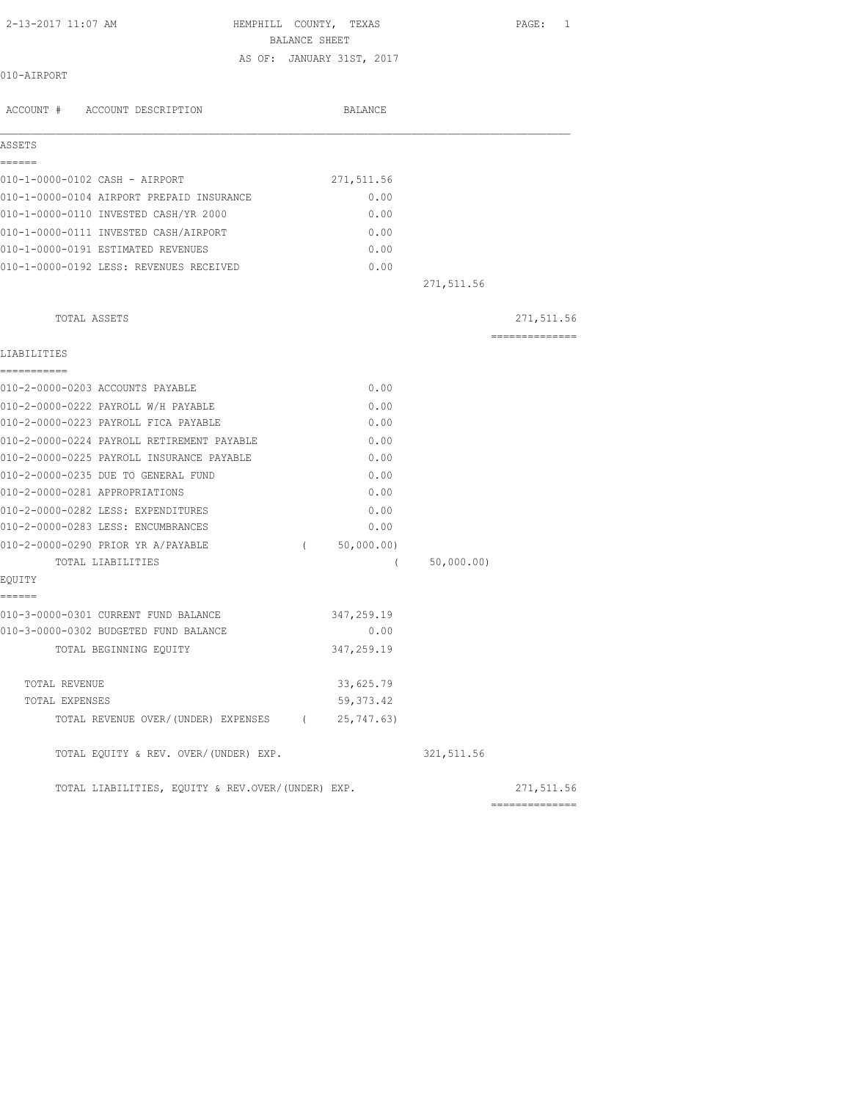| 2-13-2017 11:07 AM | HEMPHILL COUNTY, TEXAS |  | PAGE: |  |
|--------------------|------------------------|--|-------|--|
|                    |                        |  |       |  |

 BALANCE SHEET AS OF: JANUARY 31ST, 2017

| 010-AIRPORT |  |
|-------------|--|
|-------------|--|

| ACCOUNT # ACCOUNT DESCRIPTION                     |          | <b>BALANCE</b> |             |                 |
|---------------------------------------------------|----------|----------------|-------------|-----------------|
| ASSETS                                            |          |                |             |                 |
| ------                                            |          |                |             |                 |
| 010-1-0000-0102 CASH - AIRPORT                    |          | 271, 511.56    |             |                 |
| 010-1-0000-0104 AIRPORT PREPAID INSURANCE         |          | 0.00           |             |                 |
| 010-1-0000-0110 INVESTED CASH/YR 2000             |          | 0.00           |             |                 |
| 010-1-0000-0111 INVESTED CASH/AIRPORT             |          | 0.00           |             |                 |
| 010-1-0000-0191 ESTIMATED REVENUES                |          | 0.00           |             |                 |
| 010-1-0000-0192 LESS: REVENUES RECEIVED           |          | 0.00           |             |                 |
|                                                   |          |                | 271,511.56  |                 |
| TOTAL ASSETS                                      |          |                |             | 271,511.56      |
| LIABILITIES                                       |          |                |             | --------------- |
| ------------                                      |          |                |             |                 |
| 010-2-0000-0203 ACCOUNTS PAYABLE                  |          | 0.00           |             |                 |
| 010-2-0000-0222 PAYROLL W/H PAYABLE               |          | 0.00           |             |                 |
| 010-2-0000-0223 PAYROLL FICA PAYABLE              |          | 0.00           |             |                 |
| 010-2-0000-0224 PAYROLL RETIREMENT PAYABLE        |          | 0.00           |             |                 |
| 010-2-0000-0225 PAYROLL INSURANCE PAYABLE         |          | 0.00           |             |                 |
| 010-2-0000-0235 DUE TO GENERAL FUND               |          | 0.00           |             |                 |
| 010-2-0000-0281 APPROPRIATIONS                    |          | 0.00           |             |                 |
| 010-2-0000-0282 LESS: EXPENDITURES                |          | 0.00           |             |                 |
| 010-2-0000-0283 LESS: ENCUMBRANCES                |          | 0.00           |             |                 |
| 010-2-0000-0290 PRIOR YR A/PAYABLE                | $\left($ | 50,000.00)     |             |                 |
| TOTAL LIABILITIES                                 |          | $\left($       | 50,000.00)  |                 |
| EOUITY<br>======                                  |          |                |             |                 |
| 010-3-0000-0301 CURRENT FUND BALANCE              |          | 347,259.19     |             |                 |
| 010-3-0000-0302 BUDGETED FUND BALANCE             |          | 0.00           |             |                 |
| TOTAL BEGINNING EQUITY                            |          | 347,259.19     |             |                 |
| TOTAL REVENUE                                     |          | 33,625.79      |             |                 |
| TOTAL EXPENSES                                    |          | 59, 373.42     |             |                 |
| TOTAL REVENUE OVER/(UNDER) EXPENSES (25,747.63)   |          |                |             |                 |
| TOTAL EQUITY & REV. OVER/(UNDER) EXP.             |          |                | 321, 511.56 |                 |
| TOTAL LIABILITIES, EQUITY & REV.OVER/(UNDER) EXP. |          |                |             | 271,511.56      |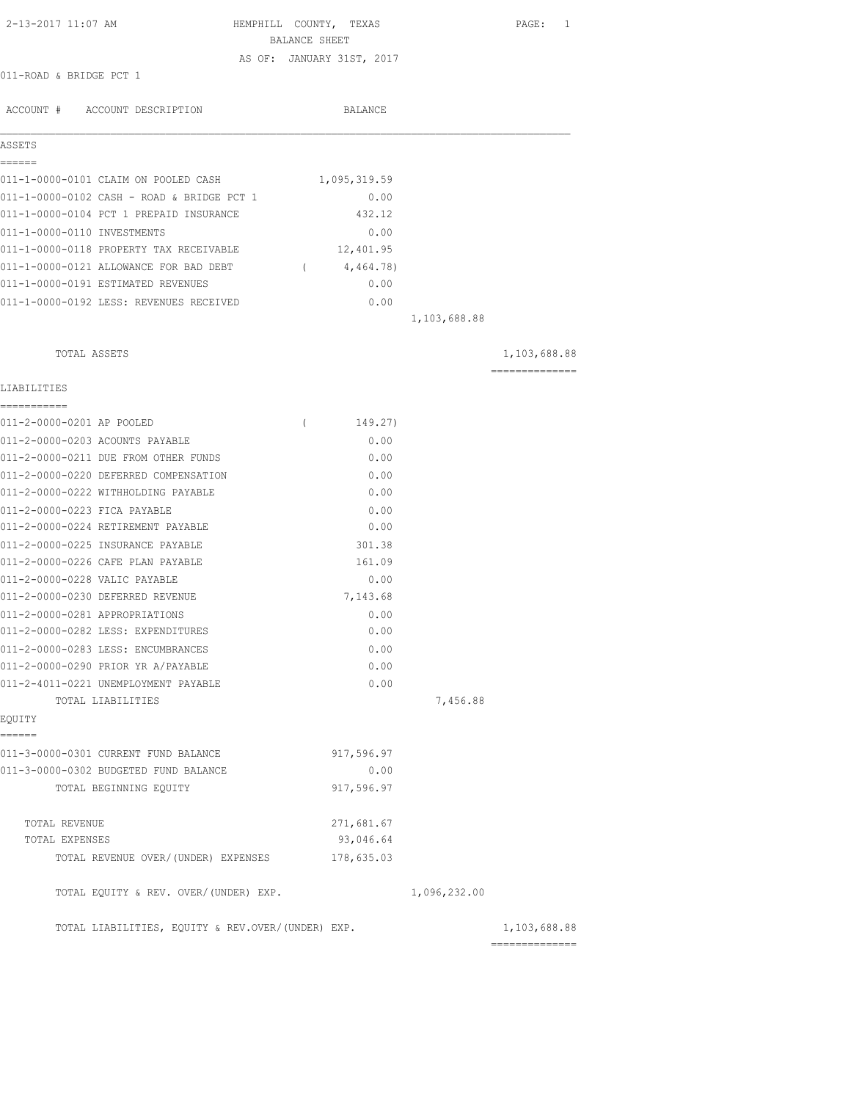| 2-13-2017 11:07 AM                                | HEMPHILL COUNTY, TEXAS<br>BALANCE SHEET |              | PAGE: 1                        |
|---------------------------------------------------|-----------------------------------------|--------------|--------------------------------|
|                                                   | AS OF: JANUARY 31ST, 2017               |              |                                |
| 011-ROAD & BRIDGE PCT 1                           |                                         |              |                                |
| ACCOUNT # ACCOUNT DESCRIPTION                     | <b>BALANCE</b>                          |              |                                |
| ASSETS<br>======                                  |                                         |              |                                |
| 011-1-0000-0101 CLAIM ON POOLED CASH              | 1,095,319.59                            |              |                                |
| 011-1-0000-0102 CASH - ROAD & BRIDGE PCT 1        | 0.00                                    |              |                                |
| 011-1-0000-0104 PCT 1 PREPAID INSURANCE           | 432.12                                  |              |                                |
| 011-1-0000-0110 INVESTMENTS                       | 0.00                                    |              |                                |
| 011-1-0000-0118 PROPERTY TAX RECEIVABLE           | 12,401.95                               |              |                                |
| 011-1-0000-0121 ALLOWANCE FOR BAD DEBT            | 4,464.78)<br>$\sim$ 0.000 $\sim$        |              |                                |
| 011-1-0000-0191 ESTIMATED REVENUES                | 0.00                                    |              |                                |
| 011-1-0000-0192 LESS: REVENUES RECEIVED           | 0.00                                    |              |                                |
|                                                   |                                         | 1,103,688.88 |                                |
| TOTAL ASSETS                                      |                                         |              | 1,103,688.88                   |
|                                                   |                                         |              | ---------------                |
| LIABILITIES<br>===========                        |                                         |              |                                |
| 011-2-0000-0201 AP POOLED                         | 149.27)<br>$\left($                     |              |                                |
| 011-2-0000-0203 ACOUNTS PAYABLE                   | 0.00                                    |              |                                |
| 011-2-0000-0211 DUE FROM OTHER FUNDS              | 0.00                                    |              |                                |
| 011-2-0000-0220 DEFERRED COMPENSATION             | 0.00                                    |              |                                |
| 011-2-0000-0222 WITHHOLDING PAYABLE               | 0.00                                    |              |                                |
| 011-2-0000-0223 FICA PAYABLE                      | 0.00                                    |              |                                |
| 011-2-0000-0224 RETIREMENT PAYABLE                | 0.00                                    |              |                                |
| 011-2-0000-0225 INSURANCE PAYABLE                 | 301.38                                  |              |                                |
| 011-2-0000-0226 CAFE PLAN PAYABLE                 | 161.09                                  |              |                                |
| 011-2-0000-0228 VALIC PAYABLE                     | 0.00                                    |              |                                |
| 011-2-0000-0230 DEFERRED REVENUE                  | 7,143.68                                |              |                                |
| 011-2-0000-0281 APPROPRIATIONS                    | 0.00                                    |              |                                |
| 011-2-0000-0282 LESS: EXPENDITURES                | 0.00                                    |              |                                |
| 011-2-0000-0283 LESS: ENCUMBRANCES                | 0.00                                    |              |                                |
| 011-2-0000-0290 PRIOR YR A/PAYABLE                | 0.00                                    |              |                                |
| 011-2-4011-0221 UNEMPLOYMENT PAYABLE              | 0.00                                    |              |                                |
| TOTAL LIABILITIES<br>EQUITY                       |                                         | 7,456.88     |                                |
| ======                                            |                                         |              |                                |
| 011-3-0000-0301 CURRENT FUND BALANCE              | 917,596.97                              |              |                                |
| 011-3-0000-0302 BUDGETED FUND BALANCE             | 0.00                                    |              |                                |
| TOTAL BEGINNING EQUITY                            | 917,596.97                              |              |                                |
| TOTAL REVENUE                                     | 271,681.67                              |              |                                |
| TOTAL EXPENSES                                    | 93,046.64                               |              |                                |
| TOTAL REVENUE OVER/ (UNDER) EXPENSES              | 178,635.03                              |              |                                |
| TOTAL EQUITY & REV. OVER/(UNDER) EXP.             |                                         | 1,096,232.00 |                                |
| TOTAL LIABILITIES, EQUITY & REV.OVER/(UNDER) EXP. |                                         |              | 1,103,688.88<br>============== |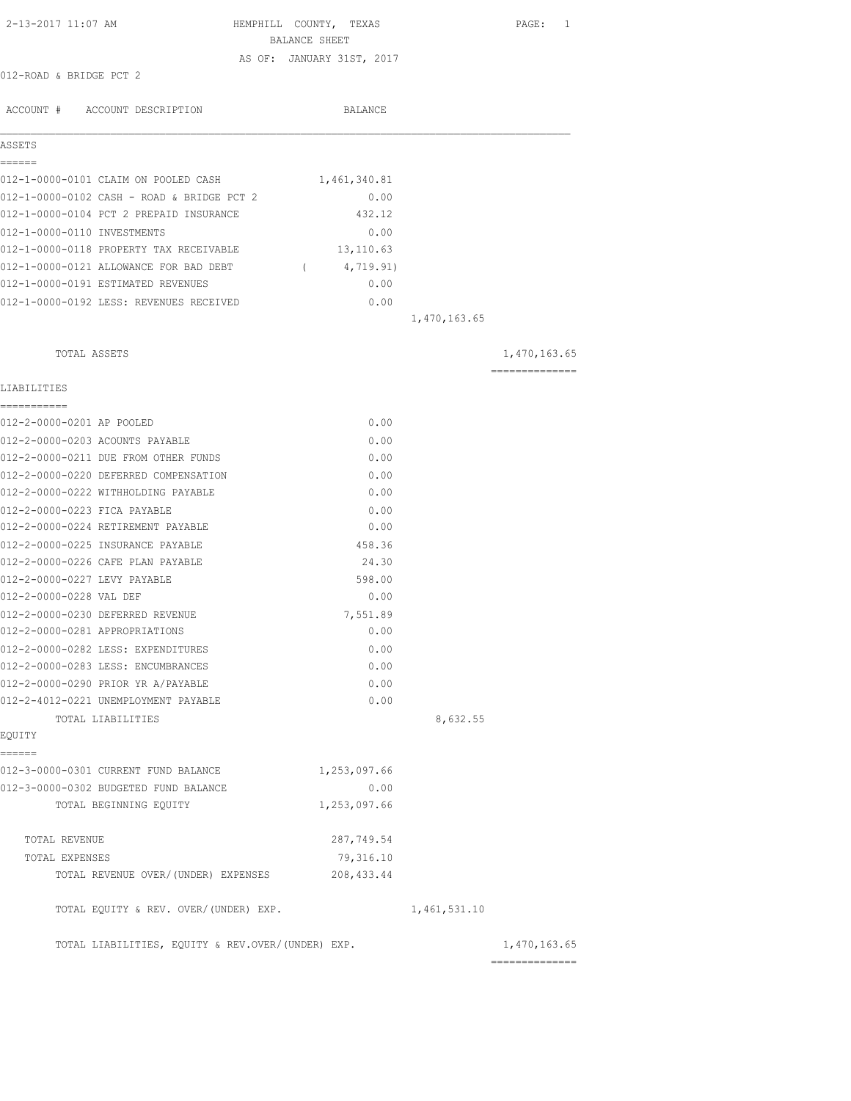| 2-13-2017 11:07 AM                                                      | HEMPHILL COUNTY, TEXAS<br>BALANCE SHEET |              | PAGE: 1                        |
|-------------------------------------------------------------------------|-----------------------------------------|--------------|--------------------------------|
|                                                                         | AS OF: JANUARY 31ST, 2017               |              |                                |
| 012-ROAD & BRIDGE PCT 2                                                 |                                         |              |                                |
| ACCOUNT # ACCOUNT DESCRIPTION                                           | BALANCE                                 |              |                                |
| ASSETS                                                                  |                                         |              |                                |
| ======                                                                  |                                         |              |                                |
| 012-1-0000-0101 CLAIM ON POOLED CASH                                    | 1,461,340.81                            |              |                                |
| 012-1-0000-0102 CASH - ROAD & BRIDGE PCT 2                              | 0.00                                    |              |                                |
| 012-1-0000-0104 PCT 2 PREPAID INSURANCE                                 | 432.12                                  |              |                                |
| 012-1-0000-0110 INVESTMENTS                                             | 0.00                                    |              |                                |
| 012-1-0000-0118 PROPERTY TAX RECEIVABLE 13,110.63                       |                                         |              |                                |
| 012-1-0000-0121 ALLOWANCE FOR BAD DEBT                                  | (4, 719.91)                             |              |                                |
| 012-1-0000-0191 ESTIMATED REVENUES                                      | 0.00                                    |              |                                |
| 012-1-0000-0192 LESS: REVENUES RECEIVED                                 | 0.00                                    |              |                                |
|                                                                         |                                         | 1,470,163.65 |                                |
| TOTAL ASSETS                                                            |                                         |              | 1,470,163.65                   |
| LIABILITIES                                                             |                                         |              | --------------                 |
| -----------                                                             |                                         |              |                                |
| 012-2-0000-0201 AP POOLED                                               | 0.00                                    |              |                                |
| 012-2-0000-0203 ACOUNTS PAYABLE<br>012-2-0000-0211 DUE FROM OTHER FUNDS | 0.00<br>0.00                            |              |                                |
| 012-2-0000-0220 DEFERRED COMPENSATION                                   | 0.00                                    |              |                                |
| 012-2-0000-0222 WITHHOLDING PAYABLE                                     | 0.00                                    |              |                                |
| 012-2-0000-0223 FICA PAYABLE                                            | 0.00                                    |              |                                |
| 012-2-0000-0224 RETIREMENT PAYABLE                                      | 0.00                                    |              |                                |
| 012-2-0000-0225 INSURANCE PAYABLE                                       | 458.36                                  |              |                                |
| 012-2-0000-0226 CAFE PLAN PAYABLE                                       | 24.30                                   |              |                                |
| 012-2-0000-0227 LEVY PAYABLE                                            | 598.00                                  |              |                                |
| 012-2-0000-0228 VAL DEF                                                 | 0.00                                    |              |                                |
| 012-2-0000-0230 DEFERRED REVENUE                                        | 7,551.89                                |              |                                |
| 012-2-0000-0281 APPROPRIATIONS                                          | 0.00                                    |              |                                |
| 012-2-0000-0282 LESS: EXPENDITURES                                      | 0.00                                    |              |                                |
| 012-2-0000-0283 LESS: ENCUMBRANCES                                      | 0.00                                    |              |                                |
| 012-2-0000-0290 PRIOR YR A/PAYABLE                                      | 0.00                                    |              |                                |
| 012-2-4012-0221 UNEMPLOYMENT PAYABLE                                    | 0.00                                    |              |                                |
| TOTAL LIABILITIES                                                       |                                         | 8,632.55     |                                |
| EQUITY                                                                  |                                         |              |                                |
| ------<br>012-3-0000-0301 CURRENT FUND BALANCE                          | 1,253,097.66                            |              |                                |
| 012-3-0000-0302 BUDGETED FUND BALANCE                                   | 0.00                                    |              |                                |
| TOTAL BEGINNING EOUITY                                                  | 1,253,097.66                            |              |                                |
| TOTAL REVENUE                                                           | 287,749.54                              |              |                                |
| TOTAL EXPENSES                                                          | 79,316.10                               |              |                                |
| TOTAL REVENUE OVER/(UNDER) EXPENSES                                     | 208, 433.44                             |              |                                |
| TOTAL EQUITY & REV. OVER/(UNDER) EXP.                                   |                                         | 1,461,531.10 |                                |
| TOTAL LIABILITIES, EQUITY & REV.OVER/(UNDER) EXP.                       |                                         |              | 1,470,163.65<br>============== |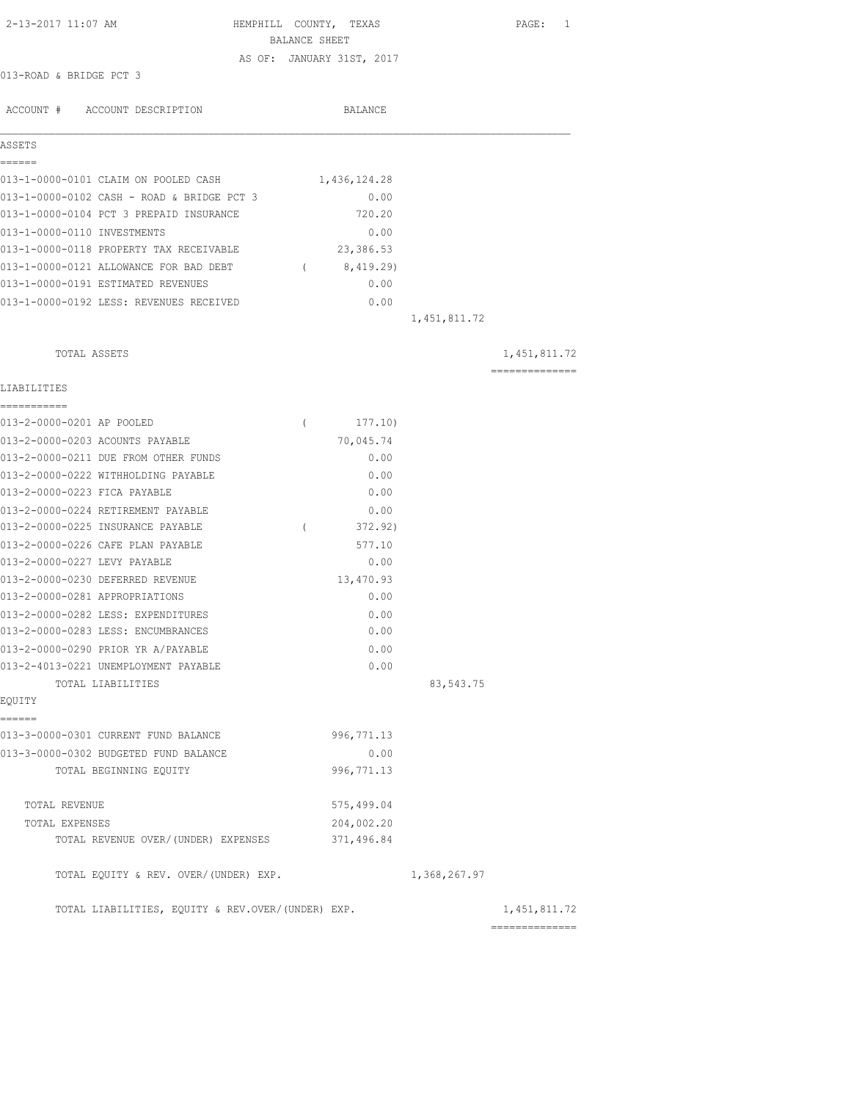| 2-13-2017 11:07 AM                                | HEMPHILL COUNTY, TEXAS<br>BALANCE SHEET |              |              | PAGE: 1         |
|---------------------------------------------------|-----------------------------------------|--------------|--------------|-----------------|
|                                                   | AS OF: JANUARY 31ST, 2017               |              |              |                 |
| 013-ROAD & BRIDGE PCT 3                           |                                         |              |              |                 |
|                                                   |                                         |              |              |                 |
| ACCOUNT # ACCOUNT DESCRIPTION                     |                                         | BALANCE      |              |                 |
|                                                   |                                         |              |              |                 |
| ASSETS<br>======                                  |                                         |              |              |                 |
| 013-1-0000-0101 CLAIM ON POOLED CASH              |                                         | 1,436,124.28 |              |                 |
| 013-1-0000-0102 CASH - ROAD & BRIDGE PCT 3        |                                         | 0.00         |              |                 |
| 013-1-0000-0104 PCT 3 PREPAID INSURANCE           |                                         | 720.20       |              |                 |
| 013-1-0000-0110 INVESTMENTS                       |                                         | 0.00         |              |                 |
| 013-1-0000-0118 PROPERTY TAX RECEIVABLE           |                                         | 23,386.53    |              |                 |
| 013-1-0000-0121 ALLOWANCE FOR BAD DEBT (8,419.29) |                                         |              |              |                 |
| 013-1-0000-0191 ESTIMATED REVENUES                |                                         | 0.00         |              |                 |
| 013-1-0000-0192 LESS: REVENUES RECEIVED           |                                         | 0.00         |              |                 |
|                                                   |                                         |              | 1,451,811.72 |                 |
| TOTAL ASSETS                                      |                                         |              |              | 1, 451, 811.72  |
|                                                   |                                         |              |              | --------------- |
| LIABILITIES<br>===========                        |                                         |              |              |                 |
| 013-2-0000-0201 AP POOLED                         | $\left($                                | 177.10)      |              |                 |
| 013-2-0000-0203 ACOUNTS PAYABLE                   |                                         | 70,045.74    |              |                 |
| 013-2-0000-0211 DUE FROM OTHER FUNDS              |                                         | 0.00         |              |                 |
| 013-2-0000-0222 WITHHOLDING PAYABLE               |                                         | 0.00         |              |                 |
| 013-2-0000-0223 FICA PAYABLE                      |                                         | 0.00         |              |                 |
| 013-2-0000-0224 RETIREMENT PAYABLE                |                                         | 0.00         |              |                 |
| 013-2-0000-0225 INSURANCE PAYABLE                 | $\left($                                | 372.92)      |              |                 |
| 013-2-0000-0226 CAFE PLAN PAYABLE                 |                                         | 577.10       |              |                 |
| 013-2-0000-0227 LEVY PAYABLE                      |                                         | 0.00         |              |                 |
| 013-2-0000-0230 DEFERRED REVENUE                  |                                         | 13,470.93    |              |                 |
| 013-2-0000-0281 APPROPRIATIONS                    |                                         | 0.00         |              |                 |
| 013-2-0000-0282 LESS: EXPENDITURES                |                                         | 0.00         |              |                 |
| 013-2-0000-0283 LESS: ENCUMBRANCES                |                                         | 0.00         |              |                 |
| 013-2-0000-0290 PRIOR YR A/PAYABLE                |                                         | 0.00         |              |                 |
| 013-2-4013-0221 UNEMPLOYMENT PAYABLE              |                                         | 0.00         |              |                 |
| TOTAL LIABILITIES                                 |                                         |              | 83,543.75    |                 |
| EQUITY                                            |                                         |              |              |                 |
| ------                                            |                                         |              |              |                 |
| 013-3-0000-0301 CURRENT FUND BALANCE              |                                         | 996, 771.13  |              |                 |
| 013-3-0000-0302 BUDGETED FUND BALANCE             |                                         | 0.00         |              |                 |
| TOTAL BEGINNING EQUITY                            |                                         | 996, 771.13  |              |                 |
| TOTAL REVENUE                                     |                                         | 575,499.04   |              |                 |
| TOTAL EXPENSES                                    |                                         | 204,002.20   |              |                 |
| TOTAL REVENUE OVER/ (UNDER) EXPENSES              |                                         | 371,496.84   |              |                 |
| TOTAL EQUITY & REV. OVER/(UNDER) EXP.             |                                         |              | 1,368,267.97 |                 |
| TOTAL LIABILITIES, EQUITY & REV.OVER/(UNDER) EXP. |                                         |              |              | 1, 451, 811.72  |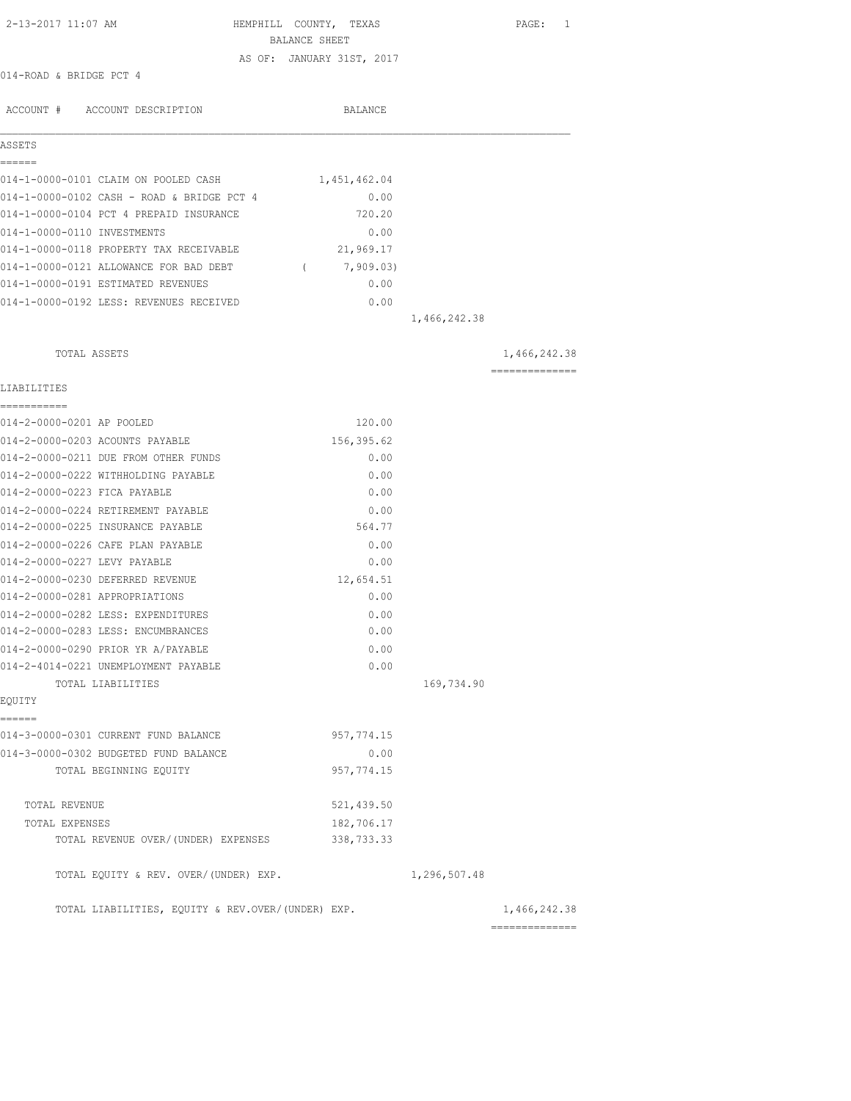| 2-13-2017 11:07 AM                                | HEMPHILL COUNTY, TEXAS<br>BALANCE SHEET |              | PAGE: 1         |
|---------------------------------------------------|-----------------------------------------|--------------|-----------------|
|                                                   | AS OF: JANUARY 31ST, 2017               |              |                 |
| 014-ROAD & BRIDGE PCT 4                           |                                         |              |                 |
|                                                   |                                         |              |                 |
| ACCOUNT # ACCOUNT DESCRIPTION                     | BALANCE                                 |              |                 |
| ASSETS                                            |                                         |              |                 |
| ======                                            |                                         |              |                 |
| 014-1-0000-0101 CLAIM ON POOLED CASH              | 1,451,462.04                            |              |                 |
| 014-1-0000-0102 CASH - ROAD & BRIDGE PCT 4        | 0.00                                    |              |                 |
| 014-1-0000-0104 PCT 4 PREPAID INSURANCE           | 720.20                                  |              |                 |
| 014-1-0000-0110 INVESTMENTS                       | 0.00                                    |              |                 |
| 014-1-0000-0118 PROPERTY TAX RECEIVABLE           | 21,969.17                               |              |                 |
| 014-1-0000-0121 ALLOWANCE FOR BAD DEBT            | (7, 909.03)                             |              |                 |
| 014-1-0000-0191 ESTIMATED REVENUES                | 0.00                                    |              |                 |
| 014-1-0000-0192 LESS: REVENUES RECEIVED           | 0.00                                    |              |                 |
|                                                   |                                         | 1,466,242.38 |                 |
| TOTAL ASSETS                                      |                                         |              | 1,466,242.38    |
| LIABILITIES                                       |                                         |              | --------------- |
| ===========                                       |                                         |              |                 |
| 014-2-0000-0201 AP POOLED                         | 120.00                                  |              |                 |
| 014-2-0000-0203 ACOUNTS PAYABLE                   | 156,395.62                              |              |                 |
| 014-2-0000-0211 DUE FROM OTHER FUNDS              | 0.00                                    |              |                 |
| 014-2-0000-0222 WITHHOLDING PAYABLE               | 0.00                                    |              |                 |
| 014-2-0000-0223 FICA PAYABLE                      | 0.00                                    |              |                 |
| 014-2-0000-0224 RETIREMENT PAYABLE                | 0.00                                    |              |                 |
| 014-2-0000-0225 INSURANCE PAYABLE                 | 564.77                                  |              |                 |
| 014-2-0000-0226 CAFE PLAN PAYABLE                 | 0.00                                    |              |                 |
| 014-2-0000-0227 LEVY PAYABLE                      | 0.00                                    |              |                 |
| 014-2-0000-0230 DEFERRED REVENUE                  | 12,654.51                               |              |                 |
| 014-2-0000-0281 APPROPRIATIONS                    | 0.00                                    |              |                 |
| 014-2-0000-0282 LESS: EXPENDITURES                | 0.00                                    |              |                 |
| 014-2-0000-0283 LESS: ENCUMBRANCES                | 0.00                                    |              |                 |
| 014-2-0000-0290 PRIOR YR A/PAYABLE                | 0.00                                    |              |                 |
| 014-2-4014-0221 UNEMPLOYMENT PAYABLE              | 0.00                                    |              |                 |
| TOTAL LIABILITIES                                 |                                         | 169,734.90   |                 |
| EQUITY                                            |                                         |              |                 |
| ------<br>014-3-0000-0301 CURRENT FUND BALANCE    | 957,774.15                              |              |                 |
| 014-3-0000-0302 BUDGETED FUND BALANCE             | 0.00                                    |              |                 |
| TOTAL BEGINNING EQUITY                            | 957, 774.15                             |              |                 |
| TOTAL REVENUE                                     | 521, 439.50                             |              |                 |
| TOTAL EXPENSES                                    | 182,706.17                              |              |                 |
| TOTAL REVENUE OVER/ (UNDER) EXPENSES              | 338, 733.33                             |              |                 |
| TOTAL EQUITY & REV. OVER/(UNDER) EXP.             |                                         | 1,296,507.48 |                 |
| TOTAL LIABILITIES, EQUITY & REV.OVER/(UNDER) EXP. |                                         |              | 1,466,242.38    |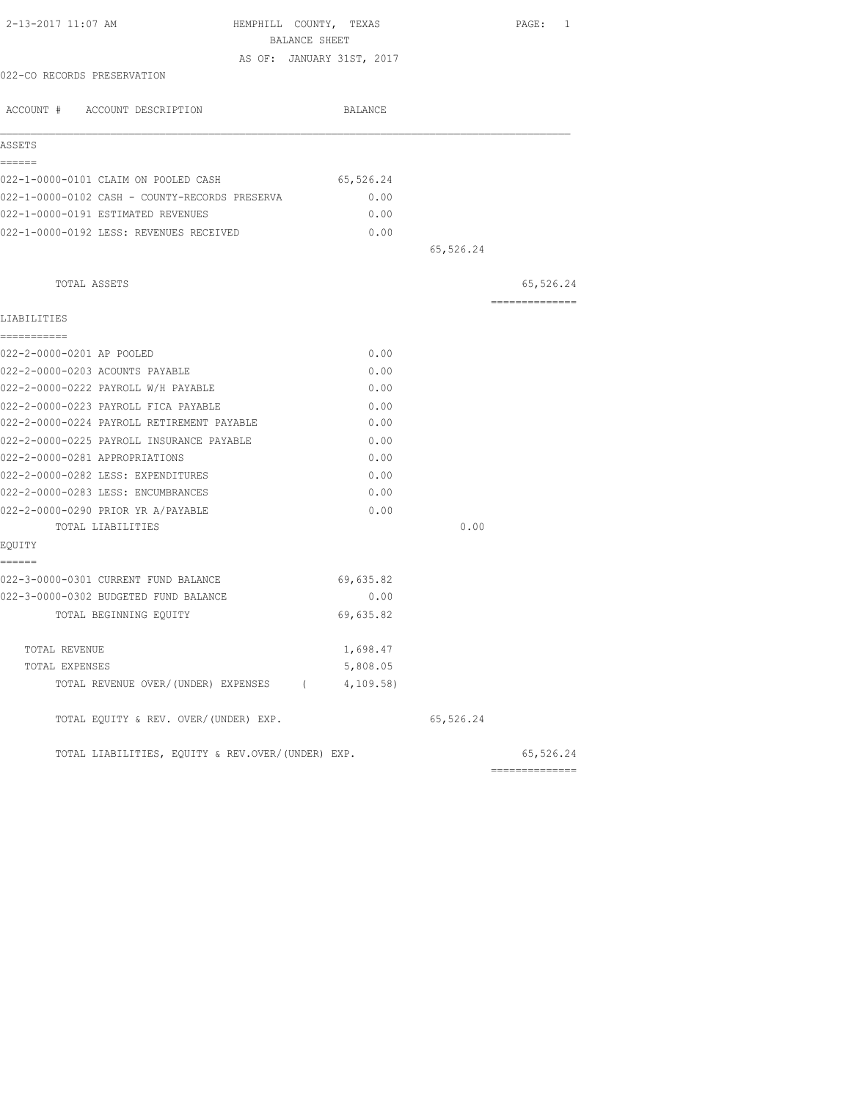| 2-13-2017 11:07 AM<br>HEMPHILL COUNTY, TEXAS      |           |           | PAGE: 1        |
|---------------------------------------------------|-----------|-----------|----------------|
| BALANCE SHEET                                     |           |           |                |
| AS OF: JANUARY 31ST, 2017                         |           |           |                |
| 022-CO RECORDS PRESERVATION                       |           |           |                |
| ACCOUNT # ACCOUNT DESCRIPTION                     | BALANCE   |           |                |
| ASSETS                                            |           |           |                |
| ------<br>022-1-0000-0101 CLAIM ON POOLED CASH    | 65,526.24 |           |                |
| 022-1-0000-0102 CASH - COUNTY-RECORDS PRESERVA    | 0.00      |           |                |
| 022-1-0000-0191 ESTIMATED REVENUES                | 0.00      |           |                |
| 022-1-0000-0192 LESS: REVENUES RECEIVED           | 0.00      |           |                |
|                                                   |           | 65,526.24 |                |
| TOTAL ASSETS                                      |           |           | 65,526.24      |
| LIABILITIES                                       |           |           | ============== |
| ===========                                       |           |           |                |
| 022-2-0000-0201 AP POOLED                         | 0.00      |           |                |
| 022-2-0000-0203 ACOUNTS PAYABLE                   | 0.00      |           |                |
| 022-2-0000-0222 PAYROLL W/H PAYABLE               | 0.00      |           |                |
| 022-2-0000-0223 PAYROLL FICA PAYABLE              | 0.00      |           |                |
| 022-2-0000-0224 PAYROLL RETIREMENT PAYABLE        | 0.00      |           |                |
| 022-2-0000-0225 PAYROLL INSURANCE PAYABLE         | 0.00      |           |                |
| 022-2-0000-0281 APPROPRIATIONS                    | 0.00      |           |                |
| 022-2-0000-0282 LESS: EXPENDITURES                | 0.00      |           |                |
| 022-2-0000-0283 LESS: ENCUMBRANCES                | 0.00      |           |                |
| 022-2-0000-0290 PRIOR YR A/PAYABLE                | 0.00      |           |                |
| TOTAL LIABILITIES                                 |           | 0.00      |                |
| EOUITY                                            |           |           |                |
| ------<br>022-3-0000-0301 CURRENT FUND BALANCE    | 69,635.82 |           |                |
| 022-3-0000-0302 BUDGETED FUND BALANCE             | 0.00      |           |                |
| TOTAL BEGINNING EOUITY                            | 69,635.82 |           |                |
|                                                   |           |           |                |
| TOTAL REVENUE                                     | 1,698.47  |           |                |
| TOTAL EXPENSES                                    | 5,808.05  |           |                |
| TOTAL REVENUE OVER/(UNDER) EXPENSES (4,109.58)    |           |           |                |
| TOTAL EQUITY & REV. OVER/(UNDER) EXP.             |           | 65,526.24 |                |
| TOTAL LIABILITIES, EQUITY & REV.OVER/(UNDER) EXP. |           |           | 65,526.24      |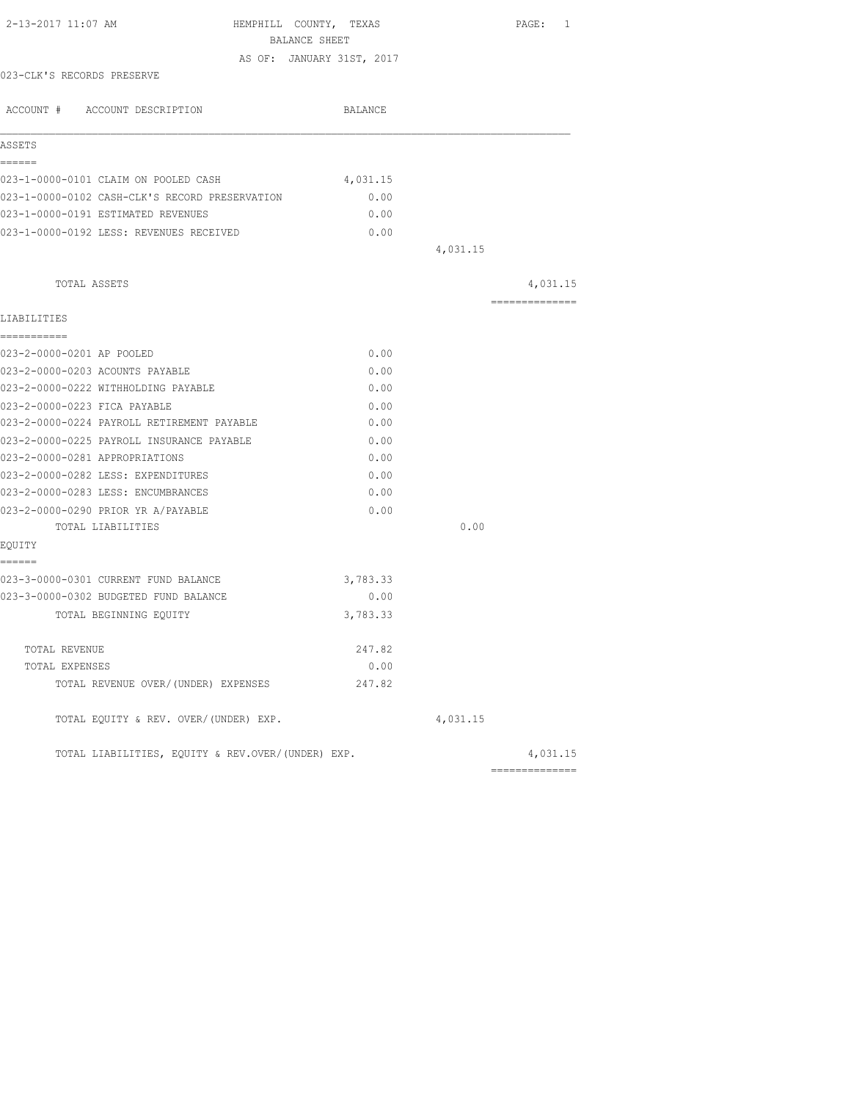| BALANCE SHEET<br>AS OF: JANUARY 31ST, 2017<br>023-CLK'S RECORDS PRESERVE<br>ACCOUNT # ACCOUNT DESCRIPTION<br>ASSETS<br>------<br>023-1-0000-0101 CLAIM ON POOLED CASH<br>023-1-0000-0102 CASH-CLK'S RECORD PRESERVATION<br>023-1-0000-0191 ESTIMATED REVENUES<br>023-1-0000-0192 LESS: REVENUES RECEIVED<br>TOTAL ASSETS<br>LIABILITIES<br>===========<br>023-2-0000-0201 AP POOLED<br>023-2-0000-0203 ACOUNTS PAYABLE<br>023-2-0000-0222 WITHHOLDING PAYABLE<br>023-2-0000-0223 FICA PAYABLE<br>023-2-0000-0224 PAYROLL RETIREMENT PAYABLE<br>023-2-0000-0225 PAYROLL INSURANCE PAYABLE<br>023-2-0000-0281 APPROPRIATIONS<br>023-2-0000-0282 LESS: EXPENDITURES<br>023-2-0000-0283 LESS: ENCUMBRANCES<br>023-2-0000-0290 PRIOR YR A/PAYABLE<br>TOTAL LIABILITIES<br>EQUITY<br>======<br>023-3-0000-0301 CURRENT FUND BALANCE | BALANCE<br>4,031.15<br>0.00<br>0.00<br>0.00<br>0.00<br>0.00<br>0.00<br>0.00<br>0.00 | 4,031.15 | 4,031.15<br>$\begin{array}{cccccccccccccc} \multicolumn{2}{c}{} & \multicolumn{2}{c}{} & \multicolumn{2}{c}{} & \multicolumn{2}{c}{} & \multicolumn{2}{c}{} & \multicolumn{2}{c}{} & \multicolumn{2}{c}{} & \multicolumn{2}{c}{} & \multicolumn{2}{c}{} & \multicolumn{2}{c}{} & \multicolumn{2}{c}{} & \multicolumn{2}{c}{} & \multicolumn{2}{c}{} & \multicolumn{2}{c}{} & \multicolumn{2}{c}{} & \multicolumn{2}{c}{} & \multicolumn{2}{c}{} & \multicolumn{2}{c}{} & \multicolumn{2}{c}{} & \$ |
|-------------------------------------------------------------------------------------------------------------------------------------------------------------------------------------------------------------------------------------------------------------------------------------------------------------------------------------------------------------------------------------------------------------------------------------------------------------------------------------------------------------------------------------------------------------------------------------------------------------------------------------------------------------------------------------------------------------------------------------------------------------------------------------------------------------------------------|-------------------------------------------------------------------------------------|----------|----------------------------------------------------------------------------------------------------------------------------------------------------------------------------------------------------------------------------------------------------------------------------------------------------------------------------------------------------------------------------------------------------------------------------------------------------------------------------------------------------|
|                                                                                                                                                                                                                                                                                                                                                                                                                                                                                                                                                                                                                                                                                                                                                                                                                               |                                                                                     |          |                                                                                                                                                                                                                                                                                                                                                                                                                                                                                                    |
|                                                                                                                                                                                                                                                                                                                                                                                                                                                                                                                                                                                                                                                                                                                                                                                                                               |                                                                                     |          |                                                                                                                                                                                                                                                                                                                                                                                                                                                                                                    |
|                                                                                                                                                                                                                                                                                                                                                                                                                                                                                                                                                                                                                                                                                                                                                                                                                               |                                                                                     |          |                                                                                                                                                                                                                                                                                                                                                                                                                                                                                                    |
|                                                                                                                                                                                                                                                                                                                                                                                                                                                                                                                                                                                                                                                                                                                                                                                                                               |                                                                                     |          |                                                                                                                                                                                                                                                                                                                                                                                                                                                                                                    |
|                                                                                                                                                                                                                                                                                                                                                                                                                                                                                                                                                                                                                                                                                                                                                                                                                               |                                                                                     |          |                                                                                                                                                                                                                                                                                                                                                                                                                                                                                                    |
|                                                                                                                                                                                                                                                                                                                                                                                                                                                                                                                                                                                                                                                                                                                                                                                                                               |                                                                                     |          |                                                                                                                                                                                                                                                                                                                                                                                                                                                                                                    |
|                                                                                                                                                                                                                                                                                                                                                                                                                                                                                                                                                                                                                                                                                                                                                                                                                               |                                                                                     |          |                                                                                                                                                                                                                                                                                                                                                                                                                                                                                                    |
|                                                                                                                                                                                                                                                                                                                                                                                                                                                                                                                                                                                                                                                                                                                                                                                                                               |                                                                                     |          |                                                                                                                                                                                                                                                                                                                                                                                                                                                                                                    |
|                                                                                                                                                                                                                                                                                                                                                                                                                                                                                                                                                                                                                                                                                                                                                                                                                               |                                                                                     |          |                                                                                                                                                                                                                                                                                                                                                                                                                                                                                                    |
|                                                                                                                                                                                                                                                                                                                                                                                                                                                                                                                                                                                                                                                                                                                                                                                                                               |                                                                                     |          |                                                                                                                                                                                                                                                                                                                                                                                                                                                                                                    |
|                                                                                                                                                                                                                                                                                                                                                                                                                                                                                                                                                                                                                                                                                                                                                                                                                               |                                                                                     |          |                                                                                                                                                                                                                                                                                                                                                                                                                                                                                                    |
|                                                                                                                                                                                                                                                                                                                                                                                                                                                                                                                                                                                                                                                                                                                                                                                                                               |                                                                                     |          |                                                                                                                                                                                                                                                                                                                                                                                                                                                                                                    |
|                                                                                                                                                                                                                                                                                                                                                                                                                                                                                                                                                                                                                                                                                                                                                                                                                               |                                                                                     |          |                                                                                                                                                                                                                                                                                                                                                                                                                                                                                                    |
|                                                                                                                                                                                                                                                                                                                                                                                                                                                                                                                                                                                                                                                                                                                                                                                                                               |                                                                                     |          |                                                                                                                                                                                                                                                                                                                                                                                                                                                                                                    |
|                                                                                                                                                                                                                                                                                                                                                                                                                                                                                                                                                                                                                                                                                                                                                                                                                               |                                                                                     |          |                                                                                                                                                                                                                                                                                                                                                                                                                                                                                                    |
|                                                                                                                                                                                                                                                                                                                                                                                                                                                                                                                                                                                                                                                                                                                                                                                                                               |                                                                                     |          |                                                                                                                                                                                                                                                                                                                                                                                                                                                                                                    |
|                                                                                                                                                                                                                                                                                                                                                                                                                                                                                                                                                                                                                                                                                                                                                                                                                               |                                                                                     |          |                                                                                                                                                                                                                                                                                                                                                                                                                                                                                                    |
|                                                                                                                                                                                                                                                                                                                                                                                                                                                                                                                                                                                                                                                                                                                                                                                                                               |                                                                                     |          |                                                                                                                                                                                                                                                                                                                                                                                                                                                                                                    |
|                                                                                                                                                                                                                                                                                                                                                                                                                                                                                                                                                                                                                                                                                                                                                                                                                               |                                                                                     |          |                                                                                                                                                                                                                                                                                                                                                                                                                                                                                                    |
|                                                                                                                                                                                                                                                                                                                                                                                                                                                                                                                                                                                                                                                                                                                                                                                                                               | 0.00                                                                                |          |                                                                                                                                                                                                                                                                                                                                                                                                                                                                                                    |
|                                                                                                                                                                                                                                                                                                                                                                                                                                                                                                                                                                                                                                                                                                                                                                                                                               | 0.00                                                                                |          |                                                                                                                                                                                                                                                                                                                                                                                                                                                                                                    |
|                                                                                                                                                                                                                                                                                                                                                                                                                                                                                                                                                                                                                                                                                                                                                                                                                               | 0.00                                                                                |          |                                                                                                                                                                                                                                                                                                                                                                                                                                                                                                    |
|                                                                                                                                                                                                                                                                                                                                                                                                                                                                                                                                                                                                                                                                                                                                                                                                                               | 0.00                                                                                |          |                                                                                                                                                                                                                                                                                                                                                                                                                                                                                                    |
|                                                                                                                                                                                                                                                                                                                                                                                                                                                                                                                                                                                                                                                                                                                                                                                                                               | 0.00                                                                                |          |                                                                                                                                                                                                                                                                                                                                                                                                                                                                                                    |
|                                                                                                                                                                                                                                                                                                                                                                                                                                                                                                                                                                                                                                                                                                                                                                                                                               |                                                                                     | 0.00     |                                                                                                                                                                                                                                                                                                                                                                                                                                                                                                    |
|                                                                                                                                                                                                                                                                                                                                                                                                                                                                                                                                                                                                                                                                                                                                                                                                                               |                                                                                     |          |                                                                                                                                                                                                                                                                                                                                                                                                                                                                                                    |
|                                                                                                                                                                                                                                                                                                                                                                                                                                                                                                                                                                                                                                                                                                                                                                                                                               |                                                                                     |          |                                                                                                                                                                                                                                                                                                                                                                                                                                                                                                    |
|                                                                                                                                                                                                                                                                                                                                                                                                                                                                                                                                                                                                                                                                                                                                                                                                                               | 3,783.33                                                                            |          |                                                                                                                                                                                                                                                                                                                                                                                                                                                                                                    |
| 023-3-0000-0302 BUDGETED FUND BALANCE                                                                                                                                                                                                                                                                                                                                                                                                                                                                                                                                                                                                                                                                                                                                                                                         | 0.00                                                                                |          |                                                                                                                                                                                                                                                                                                                                                                                                                                                                                                    |
| TOTAL BEGINNING EQUITY                                                                                                                                                                                                                                                                                                                                                                                                                                                                                                                                                                                                                                                                                                                                                                                                        | 3,783.33                                                                            |          |                                                                                                                                                                                                                                                                                                                                                                                                                                                                                                    |
| TOTAL REVENUE                                                                                                                                                                                                                                                                                                                                                                                                                                                                                                                                                                                                                                                                                                                                                                                                                 | 247.82                                                                              |          |                                                                                                                                                                                                                                                                                                                                                                                                                                                                                                    |
| TOTAL EXPENSES                                                                                                                                                                                                                                                                                                                                                                                                                                                                                                                                                                                                                                                                                                                                                                                                                | 0.00                                                                                |          |                                                                                                                                                                                                                                                                                                                                                                                                                                                                                                    |
| TOTAL REVENUE OVER/(UNDER) EXPENSES                                                                                                                                                                                                                                                                                                                                                                                                                                                                                                                                                                                                                                                                                                                                                                                           | 247.82                                                                              |          |                                                                                                                                                                                                                                                                                                                                                                                                                                                                                                    |
| TOTAL EQUITY & REV. OVER/(UNDER) EXP.                                                                                                                                                                                                                                                                                                                                                                                                                                                                                                                                                                                                                                                                                                                                                                                         |                                                                                     | 4,031.15 |                                                                                                                                                                                                                                                                                                                                                                                                                                                                                                    |
| TOTAL LIABILITIES, EQUITY & REV.OVER/(UNDER) EXP.                                                                                                                                                                                                                                                                                                                                                                                                                                                                                                                                                                                                                                                                                                                                                                             |                                                                                     |          | 4,031.15                                                                                                                                                                                                                                                                                                                                                                                                                                                                                           |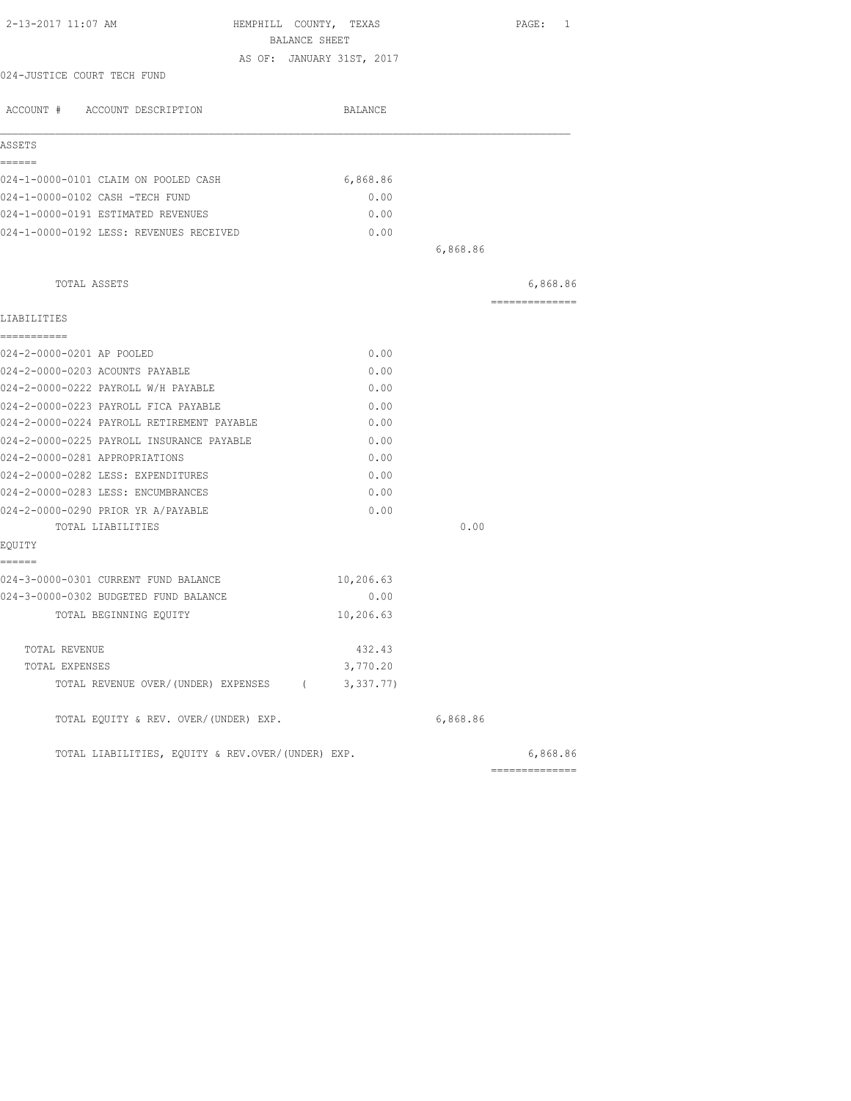| BALANCE SHEET                                     | HEMPHILL COUNTY, TEXAS    |          | PAGE: 1        |
|---------------------------------------------------|---------------------------|----------|----------------|
|                                                   | AS OF: JANUARY 31ST, 2017 |          |                |
| 024-JUSTICE COURT TECH FUND                       |                           |          |                |
|                                                   |                           |          |                |
| ACCOUNT # ACCOUNT DESCRIPTION                     | BALANCE                   |          |                |
| ASSETS                                            |                           |          |                |
| ======                                            |                           |          |                |
| 024-1-0000-0101 CLAIM ON POOLED CASH              | 6,868.86                  |          |                |
| 024-1-0000-0102 CASH -TECH FUND                   | 0.00                      |          |                |
| 024-1-0000-0191 ESTIMATED REVENUES                | 0.00                      |          |                |
| 024-1-0000-0192 LESS: REVENUES RECEIVED           | 0.00                      |          |                |
|                                                   |                           | 6,868.86 |                |
| TOTAL ASSETS                                      |                           |          | 6,868.86       |
| LIABILITIES                                       |                           |          | ============== |
| ------------                                      |                           |          |                |
| 024-2-0000-0201 AP POOLED                         | 0.00                      |          |                |
| 024-2-0000-0203 ACOUNTS PAYABLE                   | 0.00                      |          |                |
| 024-2-0000-0222 PAYROLL W/H PAYABLE               | 0.00                      |          |                |
| 024-2-0000-0223 PAYROLL FICA PAYABLE              | 0.00                      |          |                |
| 024-2-0000-0224 PAYROLL RETIREMENT PAYABLE        | 0.00                      |          |                |
| 024-2-0000-0225 PAYROLL INSURANCE PAYABLE         | 0.00                      |          |                |
| 024-2-0000-0281 APPROPRIATIONS                    | 0.00                      |          |                |
| 024-2-0000-0282 LESS: EXPENDITURES                | 0.00                      |          |                |
| 024-2-0000-0283 LESS: ENCUMBRANCES                | 0.00                      |          |                |
| 024-2-0000-0290 PRIOR YR A/PAYABLE                | 0.00                      |          |                |
| TOTAL LIABILITIES                                 |                           | 0.00     |                |
| EQUITY                                            |                           |          |                |
| ------                                            |                           |          |                |
| 024-3-0000-0301 CURRENT FUND BALANCE              | 10,206.63                 |          |                |
| 024-3-0000-0302 BUDGETED FUND BALANCE             | 0.00                      |          |                |
| TOTAL BEGINNING EOUITY                            | 10,206.63                 |          |                |
| TOTAL REVENUE                                     | 432.43                    |          |                |
| TOTAL EXPENSES                                    | 3,770.20                  |          |                |
| TOTAL REVENUE OVER/(UNDER) EXPENSES (3,337.77)    |                           |          |                |
| TOTAL EQUITY & REV. OVER/(UNDER) EXP.             |                           | 6,868.86 |                |
| TOTAL LIABILITIES, EQUITY & REV.OVER/(UNDER) EXP. |                           |          | 6,868.86       |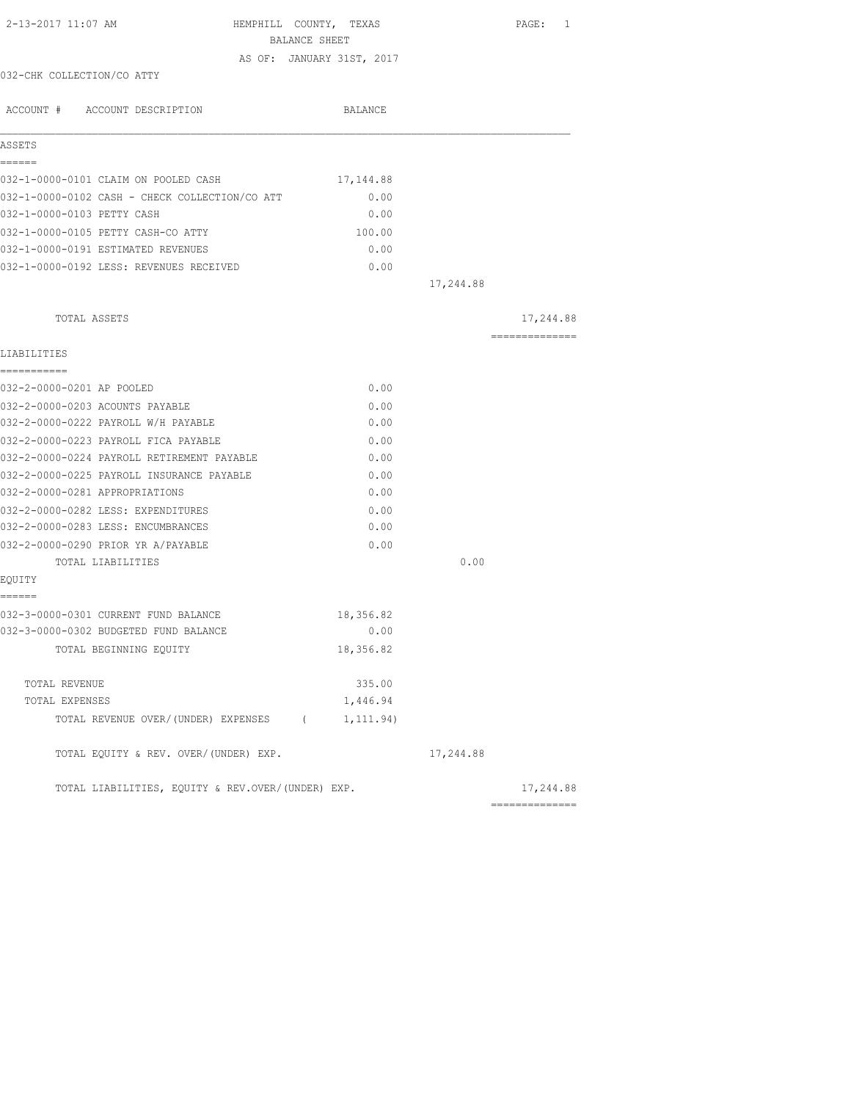| 2-13-2017 11:07 AM                                | HEMPHILL COUNTY, TEXAS<br>BALANCE SHEET | PAGE: 1        |
|---------------------------------------------------|-----------------------------------------|----------------|
|                                                   | AS OF: JANUARY 31ST, 2017               |                |
| 032-CHK COLLECTION/CO ATTY                        |                                         |                |
| ACCOUNT # ACCOUNT DESCRIPTION                     | BALANCE                                 |                |
| ASSETS                                            |                                         |                |
| ======                                            |                                         |                |
| 032-1-0000-0101 CLAIM ON POOLED CASH              | 17, 144.88                              |                |
| 032-1-0000-0102 CASH - CHECK COLLECTION/CO ATT    | 0.00                                    |                |
| 032-1-0000-0103 PETTY CASH                        | 0.00                                    |                |
| 032-1-0000-0105 PETTY CASH-CO ATTY                | 100.00                                  |                |
| 032-1-0000-0191 ESTIMATED REVENUES                | 0.00                                    |                |
| 032-1-0000-0192 LESS: REVENUES RECEIVED           | 0.00                                    |                |
|                                                   | 17,244.88                               |                |
| TOTAL ASSETS                                      |                                         | 17,244.88      |
| LIABILITIES                                       |                                         | -------------- |
| -----------                                       |                                         |                |
| 032-2-0000-0201 AP POOLED                         | 0.00                                    |                |
| 032-2-0000-0203 ACOUNTS PAYABLE                   | 0.00                                    |                |
| 032-2-0000-0222 PAYROLL W/H PAYABLE               | 0.00                                    |                |
| 032-2-0000-0223 PAYROLL FICA PAYABLE              | 0.00                                    |                |
| 032-2-0000-0224 PAYROLL RETIREMENT PAYABLE        | 0.00                                    |                |
| 032-2-0000-0225 PAYROLL INSURANCE PAYABLE         | 0.00                                    |                |
| 032-2-0000-0281 APPROPRIATIONS                    | 0.00                                    |                |
| 032-2-0000-0282 LESS: EXPENDITURES                | 0.00                                    |                |
| 032-2-0000-0283 LESS: ENCUMBRANCES                | 0.00                                    |                |
| 032-2-0000-0290 PRIOR YR A/PAYABLE                | 0.00                                    |                |
| TOTAL LIABILITIES                                 | 0.00                                    |                |
| EQUITY                                            |                                         |                |
| ======<br>032-3-0000-0301 CURRENT FUND BALANCE    | 18,356.82                               |                |
| 032-3-0000-0302 BUDGETED FUND BALANCE             | 0.00                                    |                |
| TOTAL BEGINNING EQUITY                            | 18,356.82                               |                |
| TOTAL REVENUE                                     | 335.00                                  |                |
| TOTAL EXPENSES                                    | 1,446.94                                |                |
| TOTAL REVENUE OVER/(UNDER) EXPENSES (             | 1, 111.94)                              |                |
| TOTAL EQUITY & REV. OVER/(UNDER) EXP.             | 17,244.88                               |                |
| TOTAL LIABILITIES, EQUITY & REV.OVER/(UNDER) EXP. |                                         | 17,244.88      |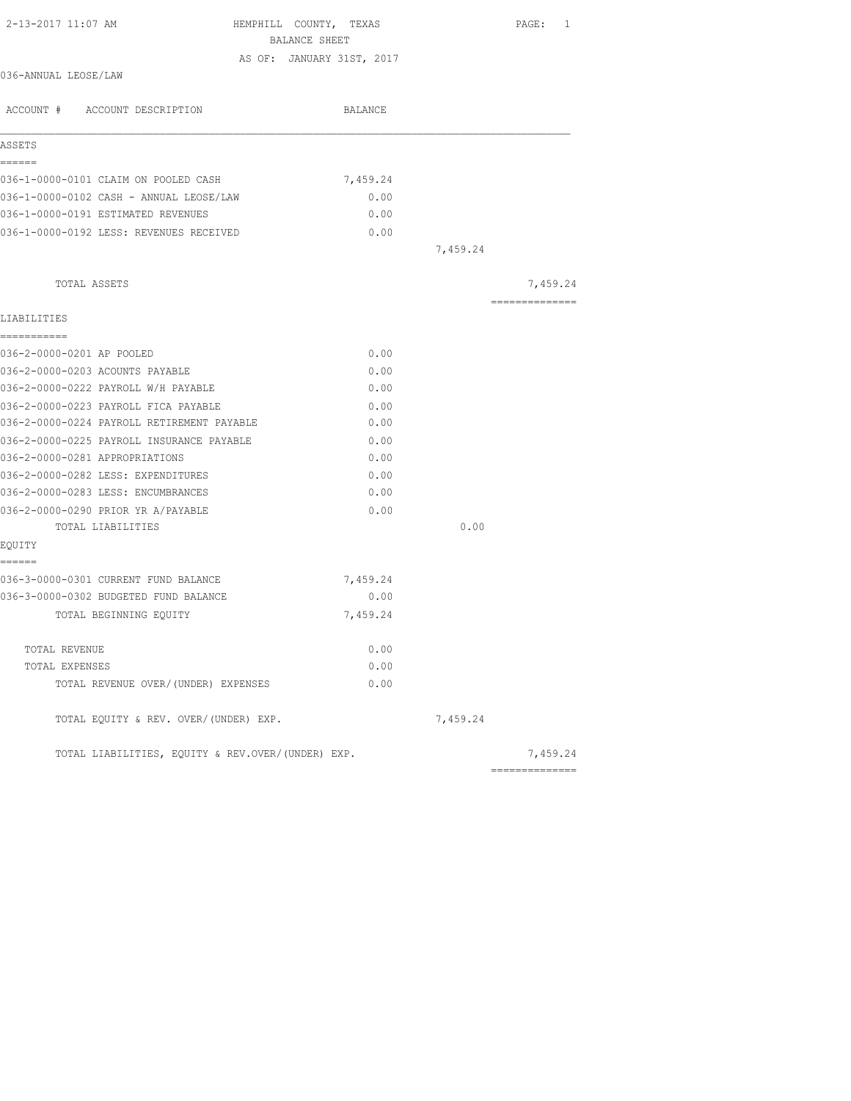| 2-13-2017 11:07 AM                                | HEMPHILL COUNTY, TEXAS<br>BALANCE SHEET |          | PAGE: 1        |
|---------------------------------------------------|-----------------------------------------|----------|----------------|
|                                                   | AS OF: JANUARY 31ST, 2017               |          |                |
| 036-ANNUAL LEOSE/LAW                              |                                         |          |                |
| ACCOUNT # ACCOUNT DESCRIPTION                     | BALANCE                                 |          |                |
| ASSETS                                            |                                         |          |                |
| ======                                            |                                         |          |                |
| 036-1-0000-0101 CLAIM ON POOLED CASH              | 7,459.24                                |          |                |
| 036-1-0000-0102 CASH - ANNUAL LEOSE/LAW           | 0.00                                    |          |                |
| 036-1-0000-0191 ESTIMATED REVENUES                | 0.00                                    |          |                |
| 036-1-0000-0192 LESS: REVENUES RECEIVED           | 0.00                                    |          |                |
|                                                   |                                         | 7,459.24 |                |
| TOTAL ASSETS                                      |                                         |          | 7,459.24       |
|                                                   |                                         |          | ============== |
| LIABILITIES<br>-----------                        |                                         |          |                |
| 036-2-0000-0201 AP POOLED                         | 0.00                                    |          |                |
| 036-2-0000-0203 ACOUNTS PAYABLE                   | 0.00                                    |          |                |
| 036-2-0000-0222 PAYROLL W/H PAYABLE               | 0.00                                    |          |                |
| 036-2-0000-0223 PAYROLL FICA PAYABLE              | 0.00                                    |          |                |
| 036-2-0000-0224 PAYROLL RETIREMENT PAYABLE        | 0.00                                    |          |                |
| 036-2-0000-0225 PAYROLL INSURANCE PAYABLE         | 0.00                                    |          |                |
| 036-2-0000-0281 APPROPRIATIONS                    | 0.00                                    |          |                |
| 036-2-0000-0282 LESS: EXPENDITURES                | 0.00                                    |          |                |
| 036-2-0000-0283 LESS: ENCUMBRANCES                | 0.00                                    |          |                |
| 036-2-0000-0290 PRIOR YR A/PAYABLE                | 0.00                                    |          |                |
| TOTAL LIABILITIES                                 |                                         | 0.00     |                |
| EQUITY                                            |                                         |          |                |
| ======<br>036-3-0000-0301 CURRENT FUND BALANCE    | 7,459.24                                |          |                |
| 036-3-0000-0302 BUDGETED FUND BALANCE             | 0.00                                    |          |                |
| TOTAL BEGINNING EQUITY                            | 7,459.24                                |          |                |
|                                                   |                                         |          |                |
| TOTAL REVENUE                                     | 0.00                                    |          |                |
| TOTAL EXPENSES                                    | 0.00                                    |          |                |
| TOTAL REVENUE OVER/(UNDER) EXPENSES               | 0.00                                    |          |                |
| TOTAL EQUITY & REV. OVER/(UNDER) EXP.             |                                         | 7,459.24 |                |
| TOTAL LIABILITIES, EQUITY & REV.OVER/(UNDER) EXP. |                                         |          | 7,459.24       |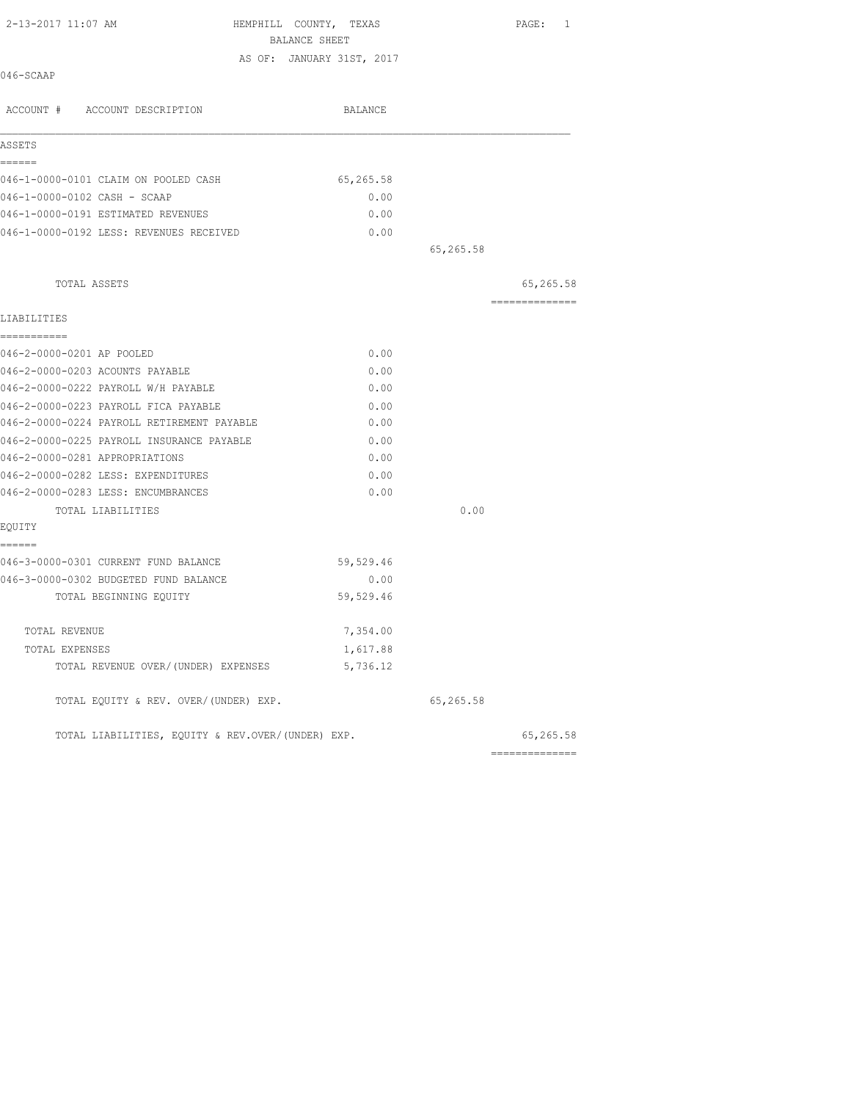| 2-13-2017 11:07 AM                                | HEMPHILL COUNTY, TEXAS<br>BALANCE SHEET |           | PAGE: 1        |
|---------------------------------------------------|-----------------------------------------|-----------|----------------|
|                                                   | AS OF: JANUARY 31ST, 2017               |           |                |
| 046-SCAAP                                         |                                         |           |                |
| ACCOUNT # ACCOUNT DESCRIPTION                     | BALANCE                                 |           |                |
| ASSETS                                            |                                         |           |                |
| ======<br>046-1-0000-0101 CLAIM ON POOLED CASH    | 65,265.58                               |           |                |
| 046-1-0000-0102 CASH - SCAAP                      | 0.00                                    |           |                |
| 046-1-0000-0191 ESTIMATED REVENUES                | 0.00                                    |           |                |
| 046-1-0000-0192 LESS: REVENUES RECEIVED           | 0.00                                    |           |                |
|                                                   |                                         | 65,265.58 |                |
| TOTAL ASSETS                                      |                                         |           | 65,265.58      |
|                                                   |                                         |           | ============== |
| LIABILITIES<br>-----------                        |                                         |           |                |
| 046-2-0000-0201 AP POOLED                         | 0.00                                    |           |                |
| 046-2-0000-0203 ACOUNTS PAYABLE                   | 0.00                                    |           |                |
| 046-2-0000-0222 PAYROLL W/H PAYABLE               | 0.00                                    |           |                |
| 046-2-0000-0223 PAYROLL FICA PAYABLE              | 0.00                                    |           |                |
| 046-2-0000-0224 PAYROLL RETIREMENT PAYABLE        | 0.00                                    |           |                |
| 046-2-0000-0225 PAYROLL INSURANCE PAYABLE         | 0.00                                    |           |                |
| 046-2-0000-0281 APPROPRIATIONS                    | 0.00                                    |           |                |
| 046-2-0000-0282 LESS: EXPENDITURES                | 0.00                                    |           |                |
| 046-2-0000-0283 LESS: ENCUMBRANCES                | 0.00                                    |           |                |
| TOTAL LIABILITIES                                 |                                         | 0.00      |                |
| EOUITY                                            |                                         |           |                |
| ======<br>046-3-0000-0301 CURRENT FUND BALANCE    | 59,529.46                               |           |                |
| 046-3-0000-0302 BUDGETED FUND BALANCE             | 0.00                                    |           |                |
| TOTAL BEGINNING EOUITY                            | 59,529.46                               |           |                |
| TOTAL REVENUE                                     | 7,354.00                                |           |                |
| TOTAL EXPENSES                                    | 1,617.88                                |           |                |
| TOTAL REVENUE OVER/(UNDER) EXPENSES               | 5,736.12                                |           |                |
| TOTAL EQUITY & REV. OVER/(UNDER) EXP.             |                                         | 65,265.58 |                |
| TOTAL LIABILITIES, EQUITY & REV.OVER/(UNDER) EXP. |                                         |           | 65,265.58      |
|                                                   |                                         |           |                |

==============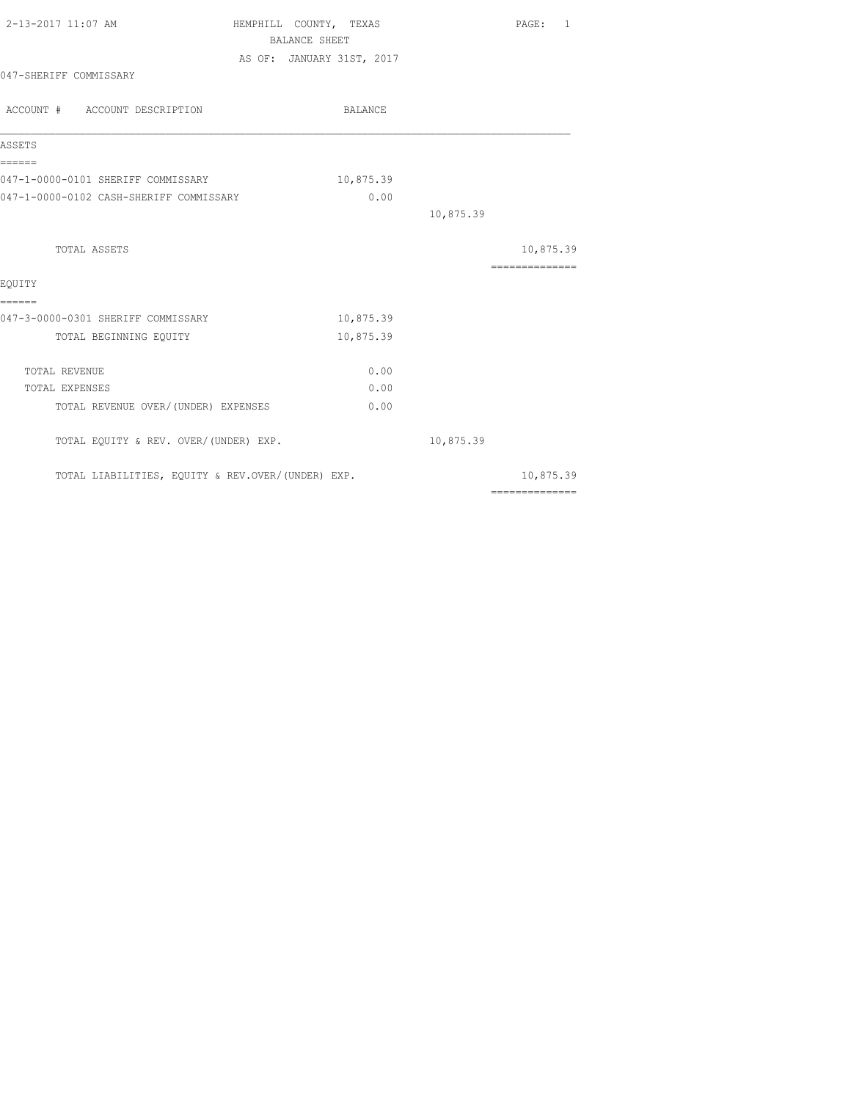| 2-13-2017 11:07 AM                                | HEMPHILL COUNTY, TEXAS |                           |           | PAGE: 1                                                                                                                                                                                                                                                                                                                                                                                                                                                                                |
|---------------------------------------------------|------------------------|---------------------------|-----------|----------------------------------------------------------------------------------------------------------------------------------------------------------------------------------------------------------------------------------------------------------------------------------------------------------------------------------------------------------------------------------------------------------------------------------------------------------------------------------------|
|                                                   |                        | <b>BALANCE SHEET</b>      |           |                                                                                                                                                                                                                                                                                                                                                                                                                                                                                        |
|                                                   |                        | AS OF: JANUARY 31ST, 2017 |           |                                                                                                                                                                                                                                                                                                                                                                                                                                                                                        |
| 047-SHERIFF COMMISSARY                            |                        |                           |           |                                                                                                                                                                                                                                                                                                                                                                                                                                                                                        |
| ACCOUNT # ACCOUNT DESCRIPTION                     |                        | BALANCE                   |           |                                                                                                                                                                                                                                                                                                                                                                                                                                                                                        |
| ASSETS                                            |                        |                           |           |                                                                                                                                                                                                                                                                                                                                                                                                                                                                                        |
| ------<br>047-1-0000-0101 SHERIFF COMMISSARY      |                        | 10,875.39                 |           |                                                                                                                                                                                                                                                                                                                                                                                                                                                                                        |
| 047-1-0000-0102 CASH-SHERIFF COMMISSARY           |                        | 0.00                      |           |                                                                                                                                                                                                                                                                                                                                                                                                                                                                                        |
|                                                   |                        |                           | 10,875.39 |                                                                                                                                                                                                                                                                                                                                                                                                                                                                                        |
| TOTAL ASSETS                                      |                        |                           |           | 10,875.39                                                                                                                                                                                                                                                                                                                                                                                                                                                                              |
| EOUITY                                            |                        |                           |           | ---------------                                                                                                                                                                                                                                                                                                                                                                                                                                                                        |
| ======<br>047-3-0000-0301 SHERIFF COMMISSARY      |                        | 10,875.39                 |           |                                                                                                                                                                                                                                                                                                                                                                                                                                                                                        |
| TOTAL BEGINNING EQUITY                            |                        | 10,875.39                 |           |                                                                                                                                                                                                                                                                                                                                                                                                                                                                                        |
| TOTAL REVENUE                                     |                        | 0.00                      |           |                                                                                                                                                                                                                                                                                                                                                                                                                                                                                        |
| TOTAL EXPENSES                                    |                        | 0.00                      |           |                                                                                                                                                                                                                                                                                                                                                                                                                                                                                        |
| TOTAL REVENUE OVER/(UNDER) EXPENSES               |                        | 0.00                      |           |                                                                                                                                                                                                                                                                                                                                                                                                                                                                                        |
| TOTAL EQUITY & REV. OVER/(UNDER) EXP.             |                        |                           | 10,875.39 |                                                                                                                                                                                                                                                                                                                                                                                                                                                                                        |
| TOTAL LIABILITIES, EQUITY & REV.OVER/(UNDER) EXP. |                        |                           |           | 10,875.39                                                                                                                                                                                                                                                                                                                                                                                                                                                                              |
|                                                   |                        |                           |           | $\begin{array}{cccccccccccccc} \multicolumn{2}{c}{} & \multicolumn{2}{c}{} & \multicolumn{2}{c}{} & \multicolumn{2}{c}{} & \multicolumn{2}{c}{} & \multicolumn{2}{c}{} & \multicolumn{2}{c}{} & \multicolumn{2}{c}{} & \multicolumn{2}{c}{} & \multicolumn{2}{c}{} & \multicolumn{2}{c}{} & \multicolumn{2}{c}{} & \multicolumn{2}{c}{} & \multicolumn{2}{c}{} & \multicolumn{2}{c}{} & \multicolumn{2}{c}{} & \multicolumn{2}{c}{} & \multicolumn{2}{c}{} & \multicolumn{2}{c}{} & \$ |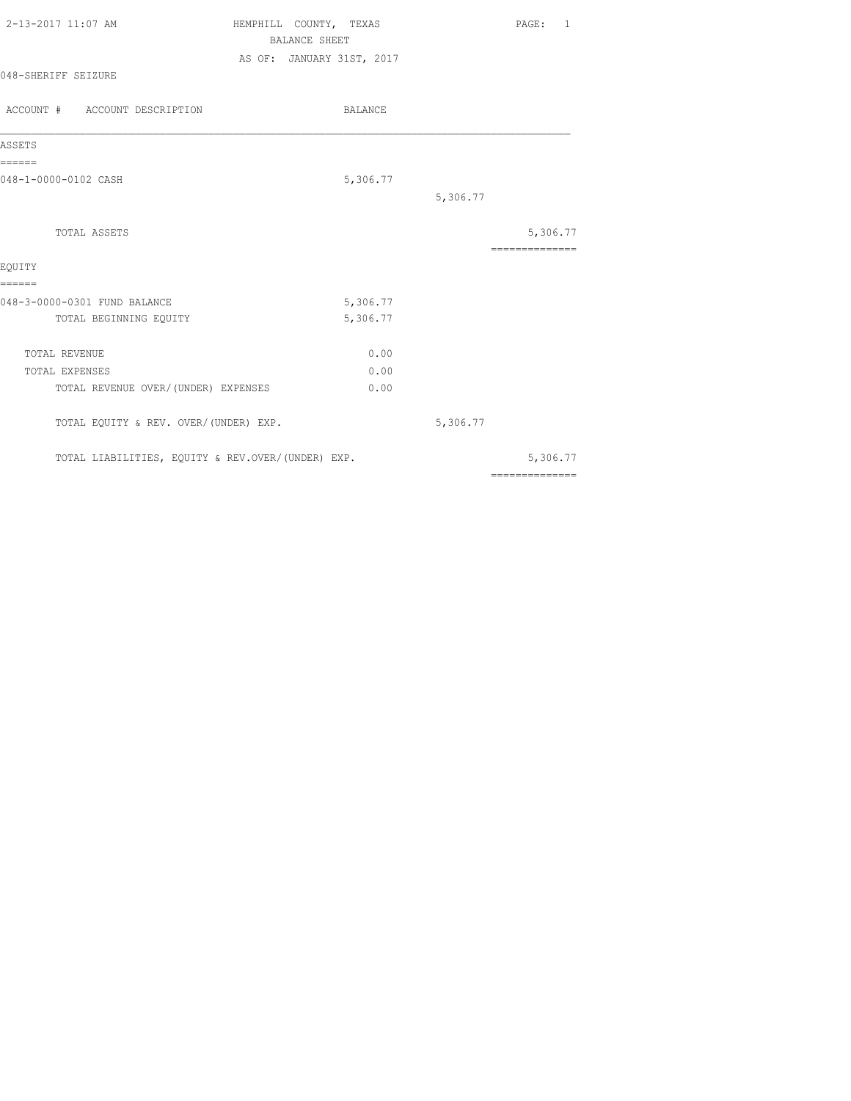| 2-13-2017 11:07 AM  | HEMPHILL COUNTY, TEXAS    | PAGE: |  |
|---------------------|---------------------------|-------|--|
|                     | BALANCE SHEET             |       |  |
|                     | AS OF: JANUARY 31ST, 2017 |       |  |
| 048-SHERIFF SEIZURE |                           |       |  |
|                     |                           |       |  |

| ACCOUNT # ACCOUNT DESCRIPTION                     | BALANCE  |          |                            |
|---------------------------------------------------|----------|----------|----------------------------|
| ASSETS                                            |          |          |                            |
| ------<br>048-1-0000-0102 CASH                    | 5,306.77 |          |                            |
|                                                   |          | 5,306.77 |                            |
| TOTAL ASSETS                                      |          |          | 5,306.77<br>============== |
| EQUITY                                            |          |          |                            |
| ======                                            |          |          |                            |
| 048-3-0000-0301 FUND BALANCE                      | 5,306.77 |          |                            |
| TOTAL BEGINNING EQUITY                            | 5,306.77 |          |                            |
| TOTAL REVENUE                                     | 0.00     |          |                            |
| TOTAL EXPENSES                                    | 0.00     |          |                            |
| TOTAL REVENUE OVER/ (UNDER) EXPENSES              | 0.00     |          |                            |
| TOTAL EQUITY & REV. OVER/(UNDER) EXP.             |          | 5,306.77 |                            |
| TOTAL LIABILITIES, EQUITY & REV.OVER/(UNDER) EXP. |          |          | 5,306.77                   |
|                                                   |          |          | ==============             |